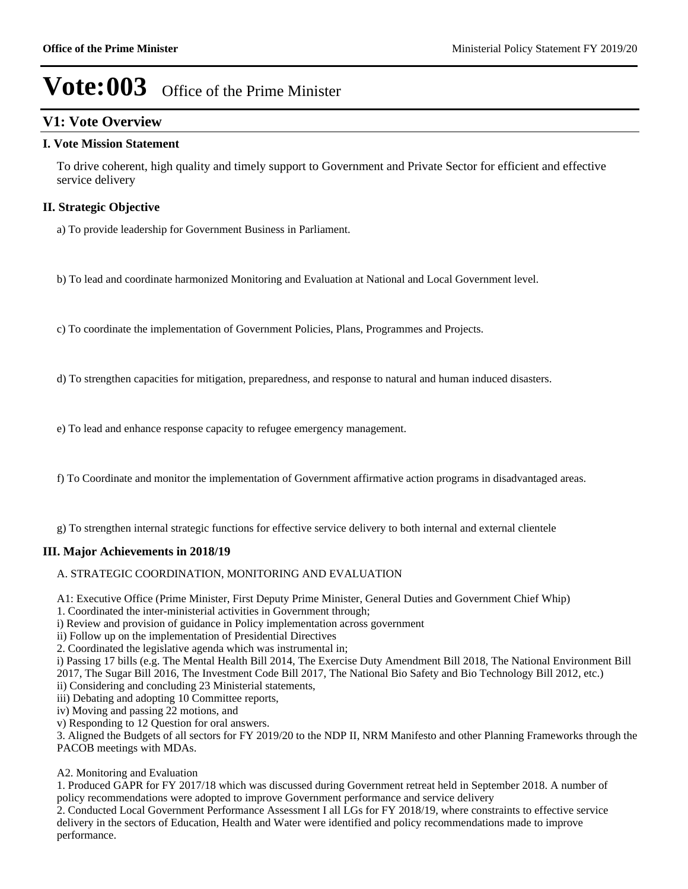### **V1: Vote Overview**

#### **I. Vote Mission Statement**

To drive coherent, high quality and timely support to Government and Private Sector for efficient and effective service delivery

#### **II. Strategic Objective**

a) To provide leadership for Government Business in Parliament.

b) To lead and coordinate harmonized Monitoring and Evaluation at National and Local Government level.

c) To coordinate the implementation of Government Policies, Plans, Programmes and Projects.

d) To strengthen capacities for mitigation, preparedness, and response to natural and human induced disasters.

e) To lead and enhance response capacity to refugee emergency management.

f) To Coordinate and monitor the implementation of Government affirmative action programs in disadvantaged areas.

g) To strengthen internal strategic functions for effective service delivery to both internal and external clientele

#### **III. Major Achievements in 2018/19**

A. STRATEGIC COORDINATION, MONITORING AND EVALUATION

A1: Executive Office (Prime Minister, First Deputy Prime Minister, General Duties and Government Chief Whip)

1. Coordinated the inter-ministerial activities in Government through;

i) Review and provision of guidance in Policy implementation across government

ii) Follow up on the implementation of Presidential Directives

2. Coordinated the legislative agenda which was instrumental in;

i) Passing 17 bills (e.g. The Mental Health Bill 2014, The Exercise Duty Amendment Bill 2018, The National Environment Bill 2017, The Sugar Bill 2016, The Investment Code Bill 2017, The National Bio Safety and Bio Technology Bill 2012, etc.)

ii) Considering and concluding 23 Ministerial statements,

iii) Debating and adopting 10 Committee reports,

iv) Moving and passing 22 motions, and

v) Responding to 12 Question for oral answers.

3. Aligned the Budgets of all sectors for FY 2019/20 to the NDP II, NRM Manifesto and other Planning Frameworks through the PACOB meetings with MDAs.

#### A2. Monitoring and Evaluation

1. Produced GAPR for FY 2017/18 which was discussed during Government retreat held in September 2018. A number of policy recommendations were adopted to improve Government performance and service delivery

2. Conducted Local Government Performance Assessment I all LGs for FY 2018/19, where constraints to effective service delivery in the sectors of Education, Health and Water were identified and policy recommendations made to improve performance.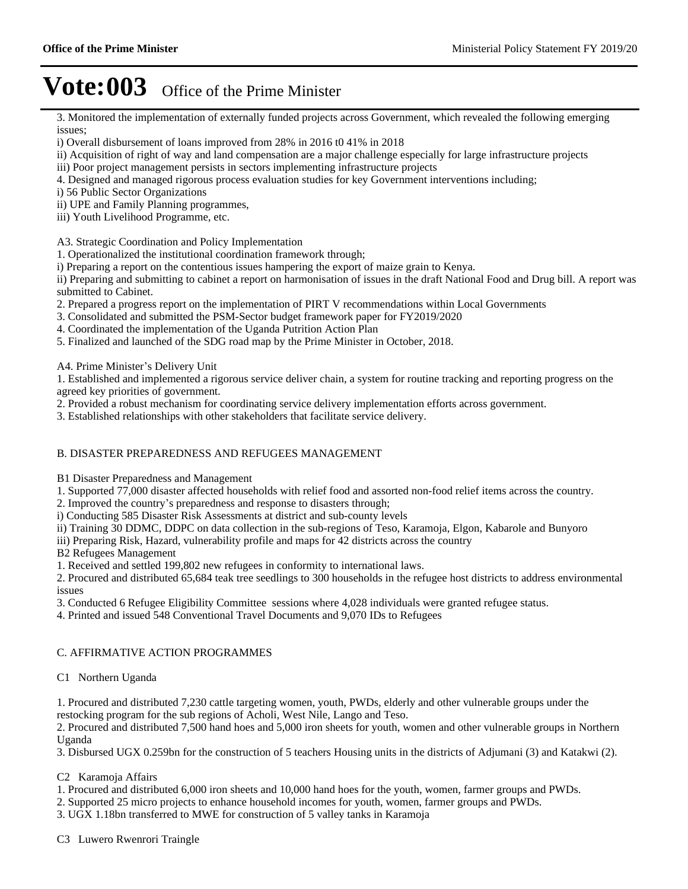3. Monitored the implementation of externally funded projects across Government, which revealed the following emerging issues;

- i) Overall disbursement of loans improved from 28% in 2016 t0 41% in 2018
- ii) Acquisition of right of way and land compensation are a major challenge especially for large infrastructure projects
- iii) Poor project management persists in sectors implementing infrastructure projects
- 4. Designed and managed rigorous process evaluation studies for key Government interventions including;
- i) 56 Public Sector Organizations
- ii) UPE and Family Planning programmes,
- iii) Youth Livelihood Programme, etc.

A3. Strategic Coordination and Policy Implementation

1. Operationalized the institutional coordination framework through;

i) Preparing a report on the contentious issues hampering the export of maize grain to Kenya.

ii) Preparing and submitting to cabinet a report on harmonisation of issues in the draft National Food and Drug bill. A report was submitted to Cabinet.

2. Prepared a progress report on the implementation of PIRT V recommendations within Local Governments

- 3. Consolidated and submitted the PSM-Sector budget framework paper for FY2019/2020
- 4. Coordinated the implementation of the Uganda Putrition Action Plan
- 5. Finalized and launched of the SDG road map by the Prime Minister in October, 2018.

A4. Prime Minister's Delivery Unit

1. Established and implemented a rigorous service deliver chain, a system for routine tracking and reporting progress on the agreed key priorities of government.

2. Provided a robust mechanism for coordinating service delivery implementation efforts across government.

3. Established relationships with other stakeholders that facilitate service delivery.

#### B. DISASTER PREPAREDNESS AND REFUGEES MANAGEMENT

B1 Disaster Preparedness and Management

1. Supported 77,000 disaster affected households with relief food and assorted non-food relief items across the country.

- 2. Improved the country's preparedness and response to disasters through;
- i) Conducting 585 Disaster Risk Assessments at district and sub-county levels
- ii) Training 30 DDMC, DDPC on data collection in the sub-regions of Teso, Karamoja, Elgon, Kabarole and Bunyoro

iii) Preparing Risk, Hazard, vulnerability profile and maps for 42 districts across the country

B2 Refugees Management

1. Received and settled 199,802 new refugees in conformity to international laws.

2. Procured and distributed 65,684 teak tree seedlings to 300 households in the refugee host districts to address environmental issues

- 3. Conducted 6 Refugee Eligibility Committee sessions where 4,028 individuals were granted refugee status.
- 4. Printed and issued 548 Conventional Travel Documents and 9,070 IDs to Refugees

#### C. AFFIRMATIVE ACTION PROGRAMMES

#### C1 Northern Uganda

1. Procured and distributed 7,230 cattle targeting women, youth, PWDs, elderly and other vulnerable groups under the restocking program for the sub regions of Acholi, West Nile, Lango and Teso.

2. Procured and distributed 7,500 hand hoes and 5,000 iron sheets for youth, women and other vulnerable groups in Northern Uganda

3. Disbursed UGX 0.259bn for the construction of 5 teachers Housing units in the districts of Adjumani (3) and Katakwi (2).

#### C2 Karamoja Affairs

- 1. Procured and distributed 6,000 iron sheets and 10,000 hand hoes for the youth, women, farmer groups and PWDs.
- 2. Supported 25 micro projects to enhance household incomes for youth, women, farmer groups and PWDs.
- 3. UGX 1.18bn transferred to MWE for construction of 5 valley tanks in Karamoja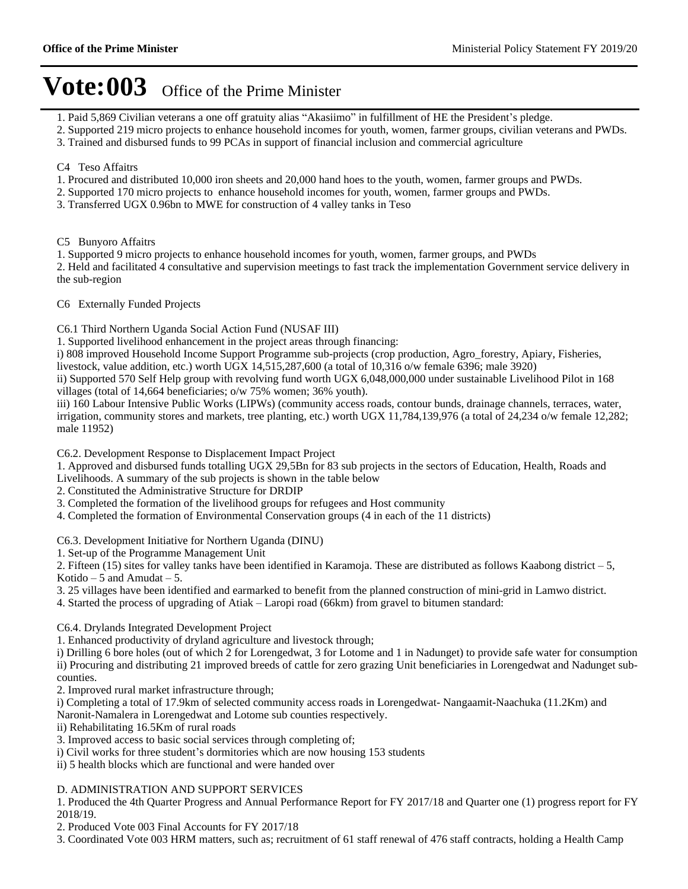- 1. Paid 5,869 Civilian veterans a one off gratuity alias "Akasiimo" in fulfillment of HE the President's pledge.
- 2. Supported 219 micro projects to enhance household incomes for youth, women, farmer groups, civilian veterans and PWDs.
- 3. Trained and disbursed funds to 99 PCAs in support of financial inclusion and commercial agriculture

#### C4 Teso Affaitrs

- 1. Procured and distributed 10,000 iron sheets and 20,000 hand hoes to the youth, women, farmer groups and PWDs.
- 2. Supported 170 micro projects to enhance household incomes for youth, women, farmer groups and PWDs.
- 3. Transferred UGX 0.96bn to MWE for construction of 4 valley tanks in Teso

C5 Bunyoro Affaitrs

1. Supported 9 micro projects to enhance household incomes for youth, women, farmer groups, and PWDs

2. Held and facilitated 4 consultative and supervision meetings to fast track the implementation Government service delivery in the sub-region

C6 Externally Funded Projects

C6.1 Third Northern Uganda Social Action Fund (NUSAF III)

1. Supported livelihood enhancement in the project areas through financing:

i) 808 improved Household Income Support Programme sub-projects (crop production, Agro\_forestry, Apiary, Fisheries,

livestock, value addition, etc.) worth UGX 14,515,287,600 (a total of 10,316 o/w female 6396; male 3920)

ii) Supported 570 Self Help group with revolving fund worth UGX 6,048,000,000 under sustainable Livelihood Pilot in 168 villages (total of 14,664 beneficiaries; o/w 75% women; 36% youth).

iii) 160 Labour Intensive Public Works (LIPWs) (community access roads, contour bunds, drainage channels, terraces, water, irrigation, community stores and markets, tree planting, etc.) worth UGX 11,784,139,976 (a total of 24,234 o/w female 12,282; male 11952)

C6.2. Development Response to Displacement Impact Project

1. Approved and disbursed funds totalling UGX 29,5Bn for 83 sub projects in the sectors of Education, Health, Roads and

Livelihoods. A summary of the sub projects is shown in the table below

2. Constituted the Administrative Structure for DRDIP

- 3. Completed the formation of the livelihood groups for refugees and Host community
- 4. Completed the formation of Environmental Conservation groups (4 in each of the 11 districts)

C6.3. Development Initiative for Northern Uganda (DINU)

1. Set-up of the Programme Management Unit

2. Fifteen (15) sites for valley tanks have been identified in Karamoja. These are distributed as follows Kaabong district  $-5$ , Kotido  $-5$  and Amudat  $-5$ .

- 3. 25 villages have been identified and earmarked to benefit from the planned construction of mini-grid in Lamwo district.
- 4. Started the process of upgrading of Atiak Laropi road (66km) from gravel to bitumen standard:

C6.4. Drylands Integrated Development Project

1. Enhanced productivity of dryland agriculture and livestock through;

i) Drilling 6 bore holes (out of which 2 for Lorengedwat, 3 for Lotome and 1 in Nadunget) to provide safe water for consumption ii) Procuring and distributing 21 improved breeds of cattle for zero grazing Unit beneficiaries in Lorengedwat and Nadunget subcounties.

2. Improved rural market infrastructure through;

i) Completing a total of 17.9km of selected community access roads in Lorengedwat- Nangaamit-Naachuka (11.2Km) and Naronit-Namalera in Lorengedwat and Lotome sub counties respectively.

ii) Rehabilitating 16.5Km of rural roads

3. Improved access to basic social services through completing of;

i) Civil works for three student's dormitories which are now housing 153 students

ii) 5 health blocks which are functional and were handed over

#### D. ADMINISTRATION AND SUPPORT SERVICES

1. Produced the 4th Quarter Progress and Annual Performance Report for FY 2017/18 and Quarter one (1) progress report for FY 2018/19.

2. Produced Vote 003 Final Accounts for FY 2017/18

3. Coordinated Vote 003 HRM matters, such as; recruitment of 61 staff renewal of 476 staff contracts, holding a Health Camp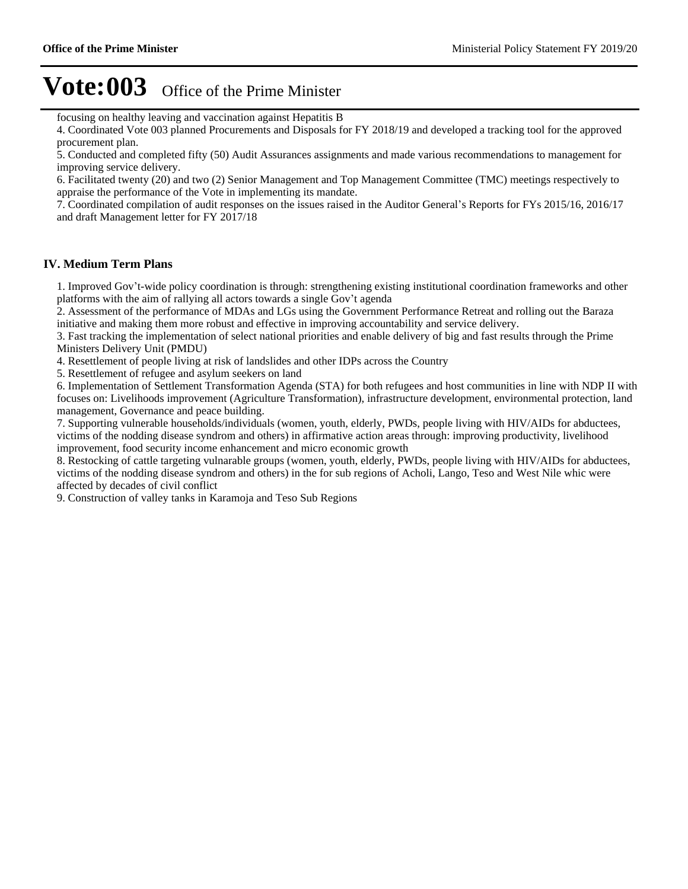focusing on healthy leaving and vaccination against Hepatitis B

4. Coordinated Vote 003 planned Procurements and Disposals for FY 2018/19 and developed a tracking tool for the approved procurement plan.

5. Conducted and completed fifty (50) Audit Assurances assignments and made various recommendations to management for improving service delivery.

6. Facilitated twenty (20) and two (2) Senior Management and Top Management Committee (TMC) meetings respectively to appraise the performance of the Vote in implementing its mandate.

7. Coordinated compilation of audit responses on the issues raised in the Auditor General's Reports for FYs 2015/16, 2016/17 and draft Management letter for FY 2017/18

#### **IV. Medium Term Plans**

1. Improved Gov't-wide policy coordination is through: strengthening existing institutional coordination frameworks and other platforms with the aim of rallying all actors towards a single Gov't agenda

2. Assessment of the performance of MDAs and LGs using the Government Performance Retreat and rolling out the Baraza initiative and making them more robust and effective in improving accountability and service delivery.

3. Fast tracking the implementation of select national priorities and enable delivery of big and fast results through the Prime Ministers Delivery Unit (PMDU)

4. Resettlement of people living at risk of landslides and other IDPs across the Country

5. Resettlement of refugee and asylum seekers on land

6. Implementation of Settlement Transformation Agenda (STA) for both refugees and host communities in line with NDP II with focuses on: Livelihoods improvement (Agriculture Transformation), infrastructure development, environmental protection, land management, Governance and peace building.

7. Supporting vulnerable households/individuals (women, youth, elderly, PWDs, people living with HIV/AIDs for abductees, victims of the nodding disease syndrom and others) in affirmative action areas through: improving productivity, livelihood improvement, food security income enhancement and micro economic growth

8. Restocking of cattle targeting vulnarable groups (women, youth, elderly, PWDs, people living with HIV/AIDs for abductees, victims of the nodding disease syndrom and others) in the for sub regions of Acholi, Lango, Teso and West Nile whic were affected by decades of civil conflict

9. Construction of valley tanks in Karamoja and Teso Sub Regions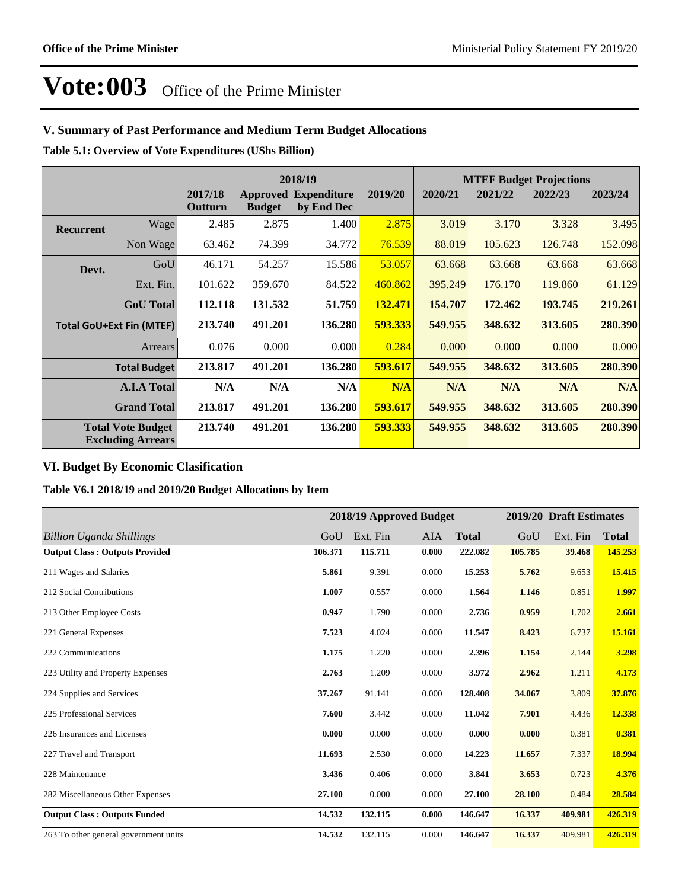### **V. Summary of Past Performance and Medium Term Budget Allocations**

**Table 5.1: Overview of Vote Expenditures (UShs Billion)**

|                  |                                                      |                    |               | 2018/19                                   |         |         | <b>MTEF Budget Projections</b> |         |         |  |
|------------------|------------------------------------------------------|--------------------|---------------|-------------------------------------------|---------|---------|--------------------------------|---------|---------|--|
|                  |                                                      | 2017/18<br>Outturn | <b>Budget</b> | <b>Approved Expenditure</b><br>by End Dec | 2019/20 | 2020/21 | 2021/22                        | 2022/23 | 2023/24 |  |
| <b>Recurrent</b> | Wage                                                 | 2.485              | 2.875         | 1.400                                     | 2.875   | 3.019   | 3.170                          | 3.328   | 3.495   |  |
|                  | Non Wage                                             | 63.462             | 74.399        | 34.772                                    | 76.539  | 88.019  | 105.623                        | 126.748 | 152.098 |  |
| Devt.            | GoU                                                  | 46.171             | 54.257        | 15.586                                    | 53.057  | 63.668  | 63.668                         | 63.668  | 63.668  |  |
|                  | Ext. Fin.                                            | 101.622            | 359.670       | 84.522                                    | 460.862 | 395.249 | 176.170                        | 119,860 | 61.129  |  |
|                  | <b>GoU</b> Total                                     | 112.118            | 131.532       | 51.759                                    | 132.471 | 154.707 | 172.462                        | 193.745 | 219.261 |  |
|                  | <b>Total GoU+Ext Fin (MTEF)</b>                      | 213.740            | 491.201       | 136.280                                   | 593.333 | 549.955 | 348.632                        | 313.605 | 280.390 |  |
|                  | <b>Arrears</b>                                       | 0.076              | 0.000         | 0.000                                     | 0.284   | 0.000   | 0.000                          | 0.000   | 0.000   |  |
|                  | <b>Total Budget</b>                                  | 213.817            | 491.201       | 136.280                                   | 593.617 | 549.955 | 348.632                        | 313.605 | 280.390 |  |
|                  | <b>A.I.A Total</b>                                   | N/A                | N/A           | N/A                                       | N/A     | N/A     | N/A                            | N/A     | N/A     |  |
|                  | <b>Grand Total</b>                                   | 213.817            | 491.201       | 136.280                                   | 593.617 | 549.955 | 348.632                        | 313.605 | 280.390 |  |
|                  | <b>Total Vote Budget</b><br><b>Excluding Arrears</b> | 213.740            | 491.201       | 136.280                                   | 593.333 | 549.955 | 348.632                        | 313.605 | 280.390 |  |

### **VI. Budget By Economic Clasification**

**Table V6.1 2018/19 and 2019/20 Budget Allocations by Item**

|                                       | 2018/19 Approved Budget |          |       |              |         | 2019/20 Draft Estimates |              |  |
|---------------------------------------|-------------------------|----------|-------|--------------|---------|-------------------------|--------------|--|
| <b>Billion Uganda Shillings</b>       | GoU                     | Ext. Fin | AIA   | <b>Total</b> | GoU     | Ext. Fin                | <b>Total</b> |  |
| <b>Output Class: Outputs Provided</b> | 106.371                 | 115.711  | 0.000 | 222.082      | 105.785 | 39.468                  | 145.253      |  |
| 211 Wages and Salaries                | 5.861                   | 9.391    | 0.000 | 15.253       | 5.762   | 9.653                   | 15.415       |  |
| 212 Social Contributions              | 1.007                   | 0.557    | 0.000 | 1.564        | 1.146   | 0.851                   | 1.997        |  |
| 213 Other Employee Costs              | 0.947                   | 1.790    | 0.000 | 2.736        | 0.959   | 1.702                   | 2.661        |  |
| 221 General Expenses                  | 7.523                   | 4.024    | 0.000 | 11.547       | 8.423   | 6.737                   | 15.161       |  |
| 222 Communications                    | 1.175                   | 1.220    | 0.000 | 2.396        | 1.154   | 2.144                   | 3.298        |  |
| 223 Utility and Property Expenses     | 2.763                   | 1.209    | 0.000 | 3.972        | 2.962   | 1.211                   | 4.173        |  |
| 224 Supplies and Services             | 37.267                  | 91.141   | 0.000 | 128.408      | 34.067  | 3.809                   | 37.876       |  |
| 225 Professional Services             | 7.600                   | 3.442    | 0.000 | 11.042       | 7.901   | 4.436                   | 12.338       |  |
| 226 Insurances and Licenses           | 0.000                   | 0.000    | 0.000 | 0.000        | 0.000   | 0.381                   | 0.381        |  |
| 227 Travel and Transport              | 11.693                  | 2.530    | 0.000 | 14.223       | 11.657  | 7.337                   | 18.994       |  |
| 228 Maintenance                       | 3.436                   | 0.406    | 0.000 | 3.841        | 3.653   | 0.723                   | 4.376        |  |
| 282 Miscellaneous Other Expenses      | 27.100                  | 0.000    | 0.000 | 27.100       | 28.100  | 0.484                   | 28.584       |  |
| <b>Output Class: Outputs Funded</b>   | 14.532                  | 132.115  | 0.000 | 146.647      | 16.337  | 409.981                 | 426.319      |  |
| 263 To other general government units | 14.532                  | 132.115  | 0.000 | 146.647      | 16.337  | 409.981                 | 426.319      |  |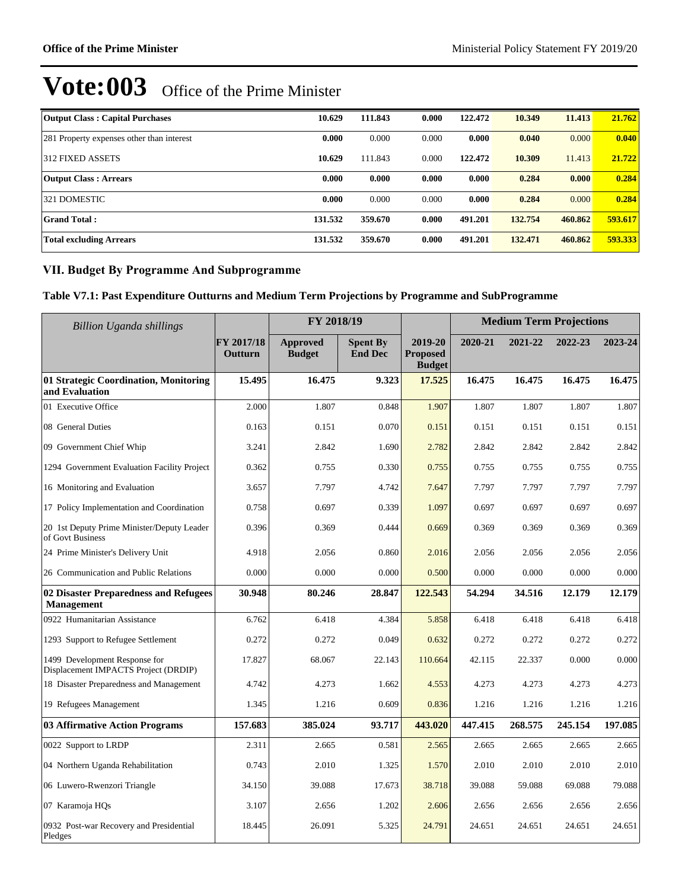| <b>Output Class: Capital Purchases</b>    | 10.629  | 111.843 | 0.000 | 122,472 | 10.349  | 11.413  | 21.762  |
|-------------------------------------------|---------|---------|-------|---------|---------|---------|---------|
| 281 Property expenses other than interest | 0.000   | 0.000   | 0.000 | 0.000   | 0.040   | 0.000   | 0.040   |
| 312 FIXED ASSETS                          | 10.629  | 111.843 | 0.000 | 122.472 | 10.309  | 11.413  | 21.722  |
| <b>Output Class: Arrears</b>              | 0.000   | 0.000   | 0.000 | 0.000   | 0.284   | 0.000   | 0.284   |
| 321 DOMESTIC                              | 0.000   | 0.000   | 0.000 | 0.000   | 0.284   | 0.000   | 0.284   |
| <b>Grand Total:</b>                       | 131.532 | 359.670 | 0.000 | 491.201 | 132.754 | 460.862 | 593.617 |
| <b>Total excluding Arrears</b>            | 131.532 | 359.670 | 0.000 | 491.201 | 132.471 | 460.862 | 593.333 |

### **VII. Budget By Programme And Subprogramme**

#### **Table V7.1: Past Expenditure Outturns and Medium Term Projections by Programme and SubProgramme**

| <b>Billion Uganda shillings</b>                                       |                       | FY 2018/19                       |                                   |                                             | <b>Medium Term Projections</b> |         |         |         |  |
|-----------------------------------------------------------------------|-----------------------|----------------------------------|-----------------------------------|---------------------------------------------|--------------------------------|---------|---------|---------|--|
|                                                                       | FY 2017/18<br>Outturn | <b>Approved</b><br><b>Budget</b> | <b>Spent By</b><br><b>End Dec</b> | 2019-20<br><b>Proposed</b><br><b>Budget</b> | 2020-21                        | 2021-22 | 2022-23 | 2023-24 |  |
| 01 Strategic Coordination, Monitoring<br>and Evaluation               | 15.495                | 16.475                           | 9.323                             | 17.525                                      | 16.475                         | 16.475  | 16.475  | 16.475  |  |
| 01 Executive Office                                                   | 2.000                 | 1.807                            | 0.848                             | 1.907                                       | 1.807                          | 1.807   | 1.807   | 1.807   |  |
| 08 General Duties                                                     | 0.163                 | 0.151                            | 0.070                             | 0.151                                       | 0.151                          | 0.151   | 0.151   | 0.151   |  |
| 09 Government Chief Whip                                              | 3.241                 | 2.842                            | 1.690                             | 2.782                                       | 2.842                          | 2.842   | 2.842   | 2.842   |  |
| 1294 Government Evaluation Facility Project                           | 0.362                 | 0.755                            | 0.330                             | 0.755                                       | 0.755                          | 0.755   | 0.755   | 0.755   |  |
| 16 Monitoring and Evaluation                                          | 3.657                 | 7.797                            | 4.742                             | 7.647                                       | 7.797                          | 7.797   | 7.797   | 7.797   |  |
| 17 Policy Implementation and Coordination                             | 0.758                 | 0.697                            | 0.339                             | 1.097                                       | 0.697                          | 0.697   | 0.697   | 0.697   |  |
| 20 1st Deputy Prime Minister/Deputy Leader<br>of Govt Business        | 0.396                 | 0.369                            | 0.444                             | 0.669                                       | 0.369                          | 0.369   | 0.369   | 0.369   |  |
| 24 Prime Minister's Delivery Unit                                     | 4.918                 | 2.056                            | 0.860                             | 2.016                                       | 2.056                          | 2.056   | 2.056   | 2.056   |  |
| 26 Communication and Public Relations                                 | 0.000                 | 0.000                            | 0.000                             | 0.500                                       | 0.000                          | 0.000   | 0.000   | 0.000   |  |
| 02 Disaster Preparedness and Refugees<br><b>Management</b>            | 30.948                | 80.246                           | 28.847                            | 122.543                                     | 54.294                         | 34.516  | 12.179  | 12.179  |  |
| 0922 Humanitarian Assistance                                          | 6.762                 | 6.418                            | 4.384                             | 5.858                                       | 6.418                          | 6.418   | 6.418   | 6.418   |  |
| 1293 Support to Refugee Settlement                                    | 0.272                 | 0.272                            | 0.049                             | 0.632                                       | 0.272                          | 0.272   | 0.272   | 0.272   |  |
| 1499 Development Response for<br>Displacement IMPACTS Project (DRDIP) | 17.827                | 68.067                           | 22.143                            | 110.664                                     | 42.115                         | 22.337  | 0.000   | 0.000   |  |
| 18 Disaster Preparedness and Management                               | 4.742                 | 4.273                            | 1.662                             | 4.553                                       | 4.273                          | 4.273   | 4.273   | 4.273   |  |
| 19 Refugees Management                                                | 1.345                 | 1.216                            | 0.609                             | 0.836                                       | 1.216                          | 1.216   | 1.216   | 1.216   |  |
| 03 Affirmative Action Programs                                        | 157.683               | 385.024                          | 93.717                            | 443.020                                     | 447.415                        | 268.575 | 245.154 | 197.085 |  |
| 0022 Support to LRDP                                                  | 2.311                 | 2.665                            | 0.581                             | 2.565                                       | 2.665                          | 2.665   | 2.665   | 2.665   |  |
| 04 Northern Uganda Rehabilitation                                     | 0.743                 | 2.010                            | 1.325                             | 1.570                                       | 2.010                          | 2.010   | 2.010   | 2.010   |  |
| 06 Luwero-Rwenzori Triangle                                           | 34.150                | 39.088                           | 17.673                            | 38.718                                      | 39.088                         | 59.088  | 69.088  | 79.088  |  |
| 07 Karamoja HQs                                                       | 3.107                 | 2.656                            | 1.202                             | 2.606                                       | 2.656                          | 2.656   | 2.656   | 2.656   |  |
| 0932 Post-war Recovery and Presidential<br>Pledges                    | 18.445                | 26.091                           | 5.325                             | 24.791                                      | 24.651                         | 24.651  | 24.651  | 24.651  |  |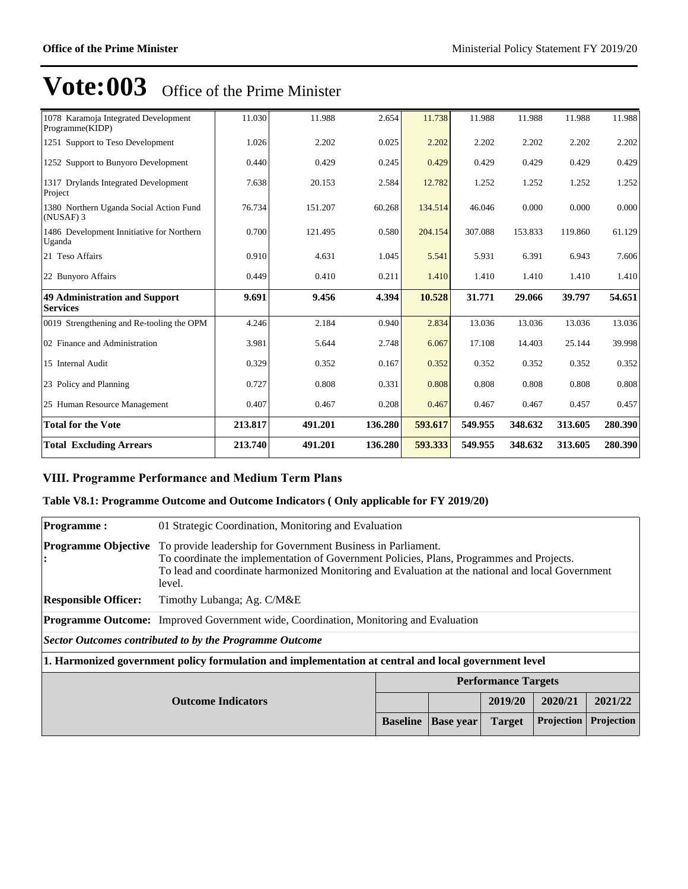| 1078 Karamoja Integrated Development<br>Programme(KIDP) | 11.030  | 11.988  | 2.654   | 11.738  | 11.988  | 11.988  | 11.988  | 11.988  |
|---------------------------------------------------------|---------|---------|---------|---------|---------|---------|---------|---------|
| 1251 Support to Teso Development                        | 1.026   | 2.202   | 0.025   | 2.202   | 2.202   | 2.202   | 2.202   | 2.202   |
| 1252 Support to Bunyoro Development                     | 0.440   | 0.429   | 0.245   | 0.429   | 0.429   | 0.429   | 0.429   | 0.429   |
| 1317 Drylands Integrated Development<br>Project         | 7.638   | 20.153  | 2.584   | 12.782  | 1.252   | 1.252   | 1.252   | 1.252   |
| 1380 Northern Uganda Social Action Fund<br>(NUSAF) 3    | 76.734  | 151.207 | 60.268  | 134.514 | 46.046  | 0.000   | 0.000   | 0.000   |
| 1486 Development Innitiative for Northern<br>Uganda     | 0.700   | 121.495 | 0.580   | 204.154 | 307.088 | 153.833 | 119.860 | 61.129  |
| 21 Teso Affairs                                         | 0.910   | 4.631   | 1.045   | 5.541   | 5.931   | 6.391   | 6.943   | 7.606   |
| 22 Bunyoro Affairs                                      | 0.449   | 0.410   | 0.211   | 1.410   | 1.410   | 1.410   | 1.410   | 1.410   |
| <b>49 Administration and Support</b><br><b>Services</b> | 9.691   | 9.456   | 4.394   | 10.528  | 31.771  | 29.066  | 39.797  | 54.651  |
| 0019 Strengthening and Re-tooling the OPM               | 4.246   | 2.184   | 0.940   | 2.834   | 13.036  | 13.036  | 13.036  | 13.036  |
| 02 Finance and Administration                           | 3.981   | 5.644   | 2.748   | 6.067   | 17.108  | 14.403  | 25.144  | 39.998  |
| 15 Internal Audit                                       | 0.329   | 0.352   | 0.167   | 0.352   | 0.352   | 0.352   | 0.352   | 0.352   |
| 23 Policy and Planning                                  | 0.727   | 0.808   | 0.331   | 0.808   | 0.808   | 0.808   | 0.808   | 0.808   |
| 25 Human Resource Management                            | 0.407   | 0.467   | 0.208   | 0.467   | 0.467   | 0.467   | 0.457   | 0.457   |
| <b>Total for the Vote</b>                               | 213.817 | 491.201 | 136.280 | 593.617 | 549.955 | 348.632 | 313.605 | 280.390 |
| <b>Total Excluding Arrears</b>                          | 213.740 | 491.201 | 136.280 | 593.333 | 549.955 | 348.632 | 313.605 | 280.390 |

### **VIII. Programme Performance and Medium Term Plans**

### **Table V8.1: Programme Outcome and Outcome Indicators ( Only applicable for FY 2019/20)**

| <b>Programme:</b>               | 01 Strategic Coordination, Monitoring and Evaluation                                                                                                                                                                                                                   |                                                                                         |  |                            |         |         |  |
|---------------------------------|------------------------------------------------------------------------------------------------------------------------------------------------------------------------------------------------------------------------------------------------------------------------|-----------------------------------------------------------------------------------------|--|----------------------------|---------|---------|--|
| <b>Programme Objective</b><br>: | To provide leadership for Government Business in Parliament.<br>To coordinate the implementation of Government Policies, Plans, Programmes and Projects.<br>To lead and coordinate harmonized Monitoring and Evaluation at the national and local Government<br>level. |                                                                                         |  |                            |         |         |  |
| <b>Responsible Officer:</b>     | Timothy Lubanga; Ag. C/M&E                                                                                                                                                                                                                                             |                                                                                         |  |                            |         |         |  |
|                                 | <b>Programme Outcome:</b> Improved Government wide, Coordination, Monitoring and Evaluation                                                                                                                                                                            |                                                                                         |  |                            |         |         |  |
|                                 | Sector Outcomes contributed to by the Programme Outcome                                                                                                                                                                                                                |                                                                                         |  |                            |         |         |  |
|                                 | 1. Harmonized government policy formulation and implementation at central and local government level                                                                                                                                                                   |                                                                                         |  |                            |         |         |  |
|                                 |                                                                                                                                                                                                                                                                        |                                                                                         |  | <b>Performance Targets</b> |         |         |  |
| <b>Outcome Indicators</b>       |                                                                                                                                                                                                                                                                        |                                                                                         |  | 2019/20                    | 2020/21 | 2021/22 |  |
|                                 |                                                                                                                                                                                                                                                                        | Projection<br><b>Projection</b><br><b>Base</b> year<br><b>Baseline</b><br><b>Target</b> |  |                            |         |         |  |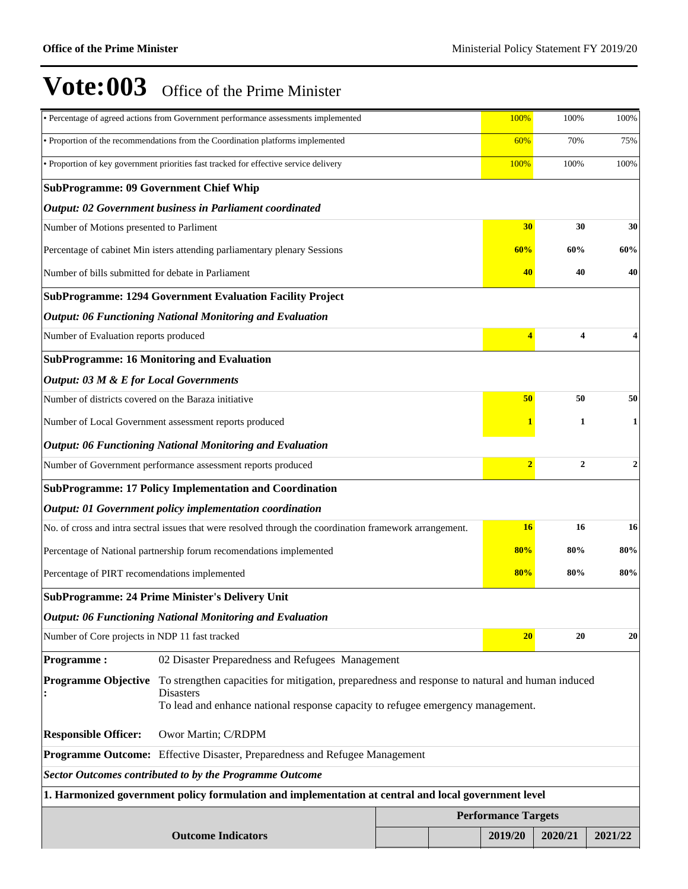|                                                                                                                                                                                                                                      | · Percentage of agreed actions from Government performance assessments implemented                       |  |  | 100%                       | 100%                             | 100%           |  |
|--------------------------------------------------------------------------------------------------------------------------------------------------------------------------------------------------------------------------------------|----------------------------------------------------------------------------------------------------------|--|--|----------------------------|----------------------------------|----------------|--|
|                                                                                                                                                                                                                                      | · Proportion of the recommendations from the Coordination platforms implemented                          |  |  | 60%                        | 70%                              | 75%            |  |
|                                                                                                                                                                                                                                      | · Proportion of key government priorities fast tracked for effective service delivery                    |  |  | 100%                       | 100%                             | 100%           |  |
| <b>SubProgramme: 09 Government Chief Whip</b>                                                                                                                                                                                        |                                                                                                          |  |  |                            |                                  |                |  |
|                                                                                                                                                                                                                                      | Output: 02 Government business in Parliament coordinated                                                 |  |  |                            |                                  |                |  |
| Number of Motions presented to Parliment                                                                                                                                                                                             |                                                                                                          |  |  | 30                         | 30                               | 30             |  |
|                                                                                                                                                                                                                                      | Percentage of cabinet Min isters attending parliamentary plenary Sessions                                |  |  | 60%                        | 60%                              | 60%            |  |
| Number of bills submitted for debate in Parliament                                                                                                                                                                                   |                                                                                                          |  |  | 40                         | 40                               | 40             |  |
|                                                                                                                                                                                                                                      | <b>SubProgramme: 1294 Government Evaluation Facility Project</b>                                         |  |  |                            |                                  |                |  |
|                                                                                                                                                                                                                                      | <b>Output: 06 Functioning National Monitoring and Evaluation</b>                                         |  |  |                            |                                  |                |  |
| Number of Evaluation reports produced                                                                                                                                                                                                |                                                                                                          |  |  | 4                          | 4                                | 4              |  |
|                                                                                                                                                                                                                                      | <b>SubProgramme: 16 Monitoring and Evaluation</b>                                                        |  |  |                            |                                  |                |  |
| <b>Output: 03 M &amp; E for Local Governments</b>                                                                                                                                                                                    |                                                                                                          |  |  |                            |                                  |                |  |
| Number of districts covered on the Baraza initiative                                                                                                                                                                                 |                                                                                                          |  |  | 50                         | 50                               | 50             |  |
|                                                                                                                                                                                                                                      | Number of Local Government assessment reports produced                                                   |  |  |                            | 1                                | 1              |  |
|                                                                                                                                                                                                                                      | <b>Output: 06 Functioning National Monitoring and Evaluation</b>                                         |  |  |                            |                                  |                |  |
| Number of Government performance assessment reports produced                                                                                                                                                                         |                                                                                                          |  |  |                            | $\overline{2}$<br>$\overline{2}$ | $\overline{2}$ |  |
|                                                                                                                                                                                                                                      | <b>SubProgramme: 17 Policy Implementation and Coordination</b>                                           |  |  |                            |                                  |                |  |
|                                                                                                                                                                                                                                      | Output: 01 Government policy implementation coordination                                                 |  |  |                            |                                  |                |  |
|                                                                                                                                                                                                                                      | No. of cross and intra sectral issues that were resolved through the coordination framework arrangement. |  |  | <b>16</b>                  | 16                               | 16             |  |
|                                                                                                                                                                                                                                      | Percentage of National partnership forum recomendations implemented                                      |  |  | 80%                        | 80%                              | 80%            |  |
| Percentage of PIRT recomendations implemented                                                                                                                                                                                        |                                                                                                          |  |  | 80%                        | 80%                              | 80%            |  |
|                                                                                                                                                                                                                                      | <b>SubProgramme: 24 Prime Minister's Delivery Unit</b>                                                   |  |  |                            |                                  |                |  |
|                                                                                                                                                                                                                                      | <b>Output: 06 Functioning National Monitoring and Evaluation</b>                                         |  |  |                            |                                  |                |  |
| Number of Core projects in NDP 11 fast tracked                                                                                                                                                                                       |                                                                                                          |  |  | 20                         | 20                               | 20             |  |
| <b>Programme:</b>                                                                                                                                                                                                                    | 02 Disaster Preparedness and Refugees Management                                                         |  |  |                            |                                  |                |  |
| <b>Programme Objective</b><br>To strengthen capacities for mitigation, preparedness and response to natural and human induced<br><b>Disasters</b><br>To lead and enhance national response capacity to refugee emergency management. |                                                                                                          |  |  |                            |                                  |                |  |
| <b>Responsible Officer:</b>                                                                                                                                                                                                          | Owor Martin; C/RDPM                                                                                      |  |  |                            |                                  |                |  |
| <b>Programme Outcome:</b> Effective Disaster, Preparedness and Refugee Management                                                                                                                                                    |                                                                                                          |  |  |                            |                                  |                |  |
| <b>Sector Outcomes contributed to by the Programme Outcome</b>                                                                                                                                                                       |                                                                                                          |  |  |                            |                                  |                |  |
| 1. Harmonized government policy formulation and implementation at central and local government level                                                                                                                                 |                                                                                                          |  |  |                            |                                  |                |  |
|                                                                                                                                                                                                                                      |                                                                                                          |  |  | <b>Performance Targets</b> |                                  |                |  |
|                                                                                                                                                                                                                                      | <b>Outcome Indicators</b>                                                                                |  |  | 2019/20                    | 2020/21                          | 2021/22        |  |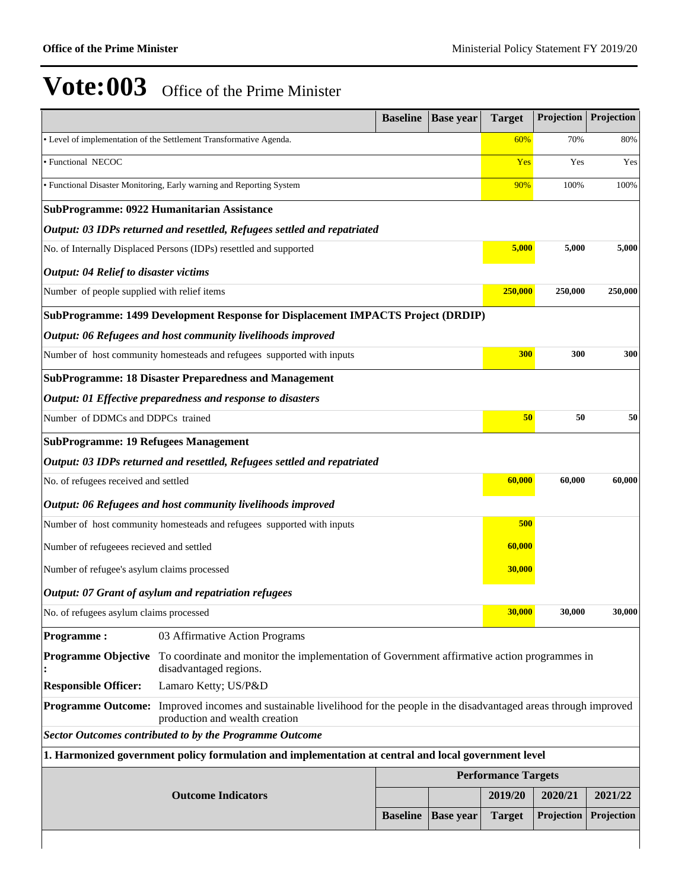|                                              |                                                                                                                                          | <b>Baseline</b> | <b>Base year</b>           | <b>Target</b> | <b>Projection</b>  | Projection |
|----------------------------------------------|------------------------------------------------------------------------------------------------------------------------------------------|-----------------|----------------------------|---------------|--------------------|------------|
|                                              | • Level of implementation of the Settlement Transformative Agenda.                                                                       |                 |                            | 60%           | 70%                | 80%        |
| · Functional NECOC                           |                                                                                                                                          |                 |                            | Yes           | Yes                | Yes        |
|                                              | · Functional Disaster Monitoring, Early warning and Reporting System                                                                     |                 |                            | 90%           | 100%               | 100%       |
|                                              | SubProgramme: 0922 Humanitarian Assistance                                                                                               |                 |                            |               |                    |            |
|                                              | Output: 03 IDPs returned and resettled, Refugees settled and repatriated                                                                 |                 |                            |               |                    |            |
|                                              | No. of Internally Displaced Persons (IDPs) resettled and supported                                                                       |                 |                            | 5,000         | 5,000              | 5,000      |
| <b>Output: 04 Relief to disaster victims</b> |                                                                                                                                          |                 |                            |               |                    |            |
| Number of people supplied with relief items  |                                                                                                                                          |                 |                            |               | 250,000<br>250,000 | 250,000    |
|                                              | SubProgramme: 1499 Development Response for Displacement IMPACTS Project (DRDIP)                                                         |                 |                            |               |                    |            |
|                                              | Output: 06 Refugees and host community livelihoods improved                                                                              |                 |                            |               |                    |            |
|                                              | Number of host community homesteads and refugees supported with inputs                                                                   |                 |                            | 300           | 300                | 300        |
|                                              | <b>SubProgramme: 18 Disaster Preparedness and Management</b>                                                                             |                 |                            |               |                    |            |
|                                              | Output: 01 Effective preparedness and response to disasters                                                                              |                 |                            |               |                    |            |
| Number of DDMCs and DDPCs trained            |                                                                                                                                          |                 |                            | 50            | 50                 | 50         |
| <b>SubProgramme: 19 Refugees Management</b>  |                                                                                                                                          |                 |                            |               |                    |            |
|                                              | Output: 03 IDPs returned and resettled, Refugees settled and repatriated                                                                 |                 |                            |               |                    |            |
| No. of refugees received and settled         |                                                                                                                                          |                 |                            |               | 60,000<br>60,000   | 60,000     |
|                                              | Output: 06 Refugees and host community livelihoods improved                                                                              |                 |                            |               |                    |            |
|                                              | Number of host community homesteads and refugees supported with inputs                                                                   |                 |                            | 500           |                    |            |
| Number of refugeees recieved and settled     |                                                                                                                                          |                 |                            | 60,000        |                    |            |
| Number of refugee's asylum claims processed  |                                                                                                                                          |                 |                            | 30,000        |                    |            |
|                                              | Output: 07 Grant of asylum and repatriation refugees                                                                                     |                 |                            |               |                    |            |
| No. of refugees asylum claims processed      |                                                                                                                                          |                 |                            | 30,000        | 30,000             | 30,000     |
| <b>Programme:</b>                            | 03 Affirmative Action Programs                                                                                                           |                 |                            |               |                    |            |
| <b>Programme Objective</b>                   | To coordinate and monitor the implementation of Government affirmative action programmes in<br>disadvantaged regions.                    |                 |                            |               |                    |            |
| <b>Responsible Officer:</b>                  | Lamaro Ketty; US/P&D                                                                                                                     |                 |                            |               |                    |            |
| <b>Programme Outcome:</b>                    | Improved incomes and sustainable livelihood for the people in the disadvantaged areas through improved<br>production and wealth creation |                 |                            |               |                    |            |
|                                              | <b>Sector Outcomes contributed to by the Programme Outcome</b>                                                                           |                 |                            |               |                    |            |
|                                              | 1. Harmonized government policy formulation and implementation at central and local government level                                     |                 |                            |               |                    |            |
|                                              |                                                                                                                                          |                 | <b>Performance Targets</b> |               |                    |            |
|                                              | <b>Outcome Indicators</b>                                                                                                                |                 |                            | 2019/20       | 2020/21            | 2021/22    |
|                                              |                                                                                                                                          | <b>Baseline</b> | <b>Base year</b>           | <b>Target</b> | Projection         | Projection |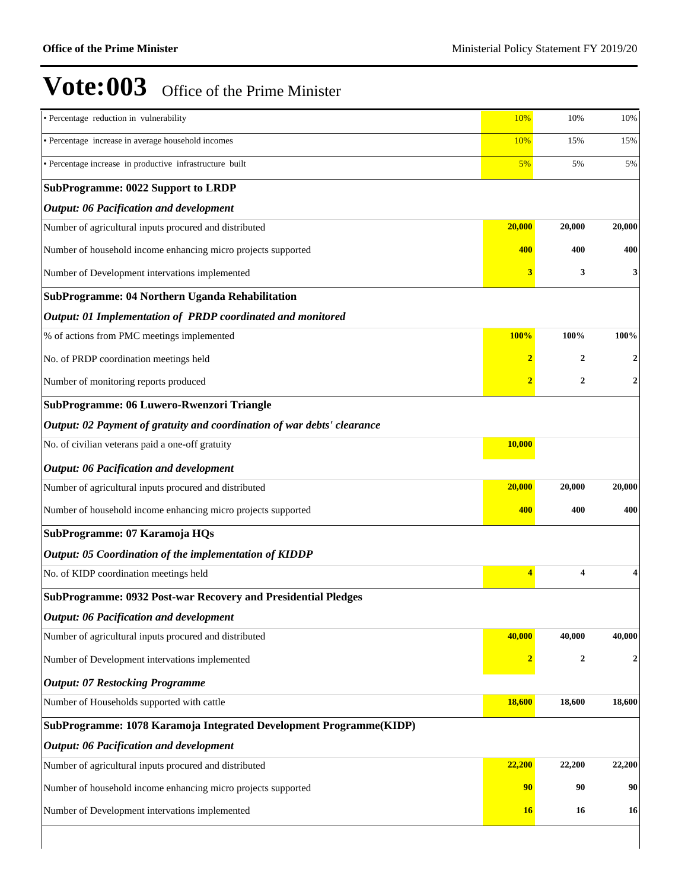$\overline{\phantom{a}}$ 

| • Percentage reduction in vulnerability                                 | 10%                     | 10%              | 10%            |  |  |  |  |  |
|-------------------------------------------------------------------------|-------------------------|------------------|----------------|--|--|--|--|--|
| • Percentage increase in average household incomes                      | 10%                     | 15%              | 15%            |  |  |  |  |  |
| · Percentage increase in productive infrastructure built                | 5%                      | 5%               | 5%             |  |  |  |  |  |
| <b>SubProgramme: 0022 Support to LRDP</b>                               |                         |                  |                |  |  |  |  |  |
| Output: 06 Pacification and development                                 |                         |                  |                |  |  |  |  |  |
| Number of agricultural inputs procured and distributed                  | 20,000                  | 20,000           | 20,000         |  |  |  |  |  |
| Number of household income enhancing micro projects supported           | 400                     | 400              | 400            |  |  |  |  |  |
| Number of Development intervations implemented                          | 3                       | 3                | 3              |  |  |  |  |  |
| SubProgramme: 04 Northern Uganda Rehabilitation                         |                         |                  |                |  |  |  |  |  |
| Output: 01 Implementation of PRDP coordinated and monitored             |                         |                  |                |  |  |  |  |  |
| % of actions from PMC meetings implemented                              | 100%                    | 100%             | 100%           |  |  |  |  |  |
| No. of PRDP coordination meetings held                                  | $\overline{2}$          | $\mathbf{2}$     | 2              |  |  |  |  |  |
| Number of monitoring reports produced                                   | 2                       | $\mathbf{2}$     | $\overline{2}$ |  |  |  |  |  |
| SubProgramme: 06 Luwero-Rwenzori Triangle                               |                         |                  |                |  |  |  |  |  |
| Output: 02 Payment of gratuity and coordination of war debts' clearance |                         |                  |                |  |  |  |  |  |
| No. of civilian veterans paid a one-off gratuity                        | 10,000                  |                  |                |  |  |  |  |  |
| Output: 06 Pacification and development                                 |                         |                  |                |  |  |  |  |  |
| Number of agricultural inputs procured and distributed                  | 20,000                  | 20,000           | 20,000         |  |  |  |  |  |
| Number of household income enhancing micro projects supported           | 400                     | 400              | 400            |  |  |  |  |  |
| SubProgramme: 07 Karamoja HQs                                           |                         |                  |                |  |  |  |  |  |
| Output: 05 Coordination of the implementation of KIDDP                  |                         |                  |                |  |  |  |  |  |
| No. of KIDP coordination meetings held                                  | 4                       | 4                |                |  |  |  |  |  |
| SubProgramme: 0932 Post-war Recovery and Presidential Pledges           |                         |                  |                |  |  |  |  |  |
| Output: 06 Pacification and development                                 |                         |                  |                |  |  |  |  |  |
| Number of agricultural inputs procured and distributed                  | 40,000                  | 40,000           | 40,000         |  |  |  |  |  |
| Number of Development intervations implemented                          | $\overline{\mathbf{2}}$ | $\boldsymbol{2}$ | $\overline{2}$ |  |  |  |  |  |
| <b>Output: 07 Restocking Programme</b>                                  |                         |                  |                |  |  |  |  |  |
| Number of Households supported with cattle                              | 18,600                  | 18,600           | 18,600         |  |  |  |  |  |
| SubProgramme: 1078 Karamoja Integrated Development Programme(KIDP)      |                         |                  |                |  |  |  |  |  |
| Output: 06 Pacification and development                                 |                         |                  |                |  |  |  |  |  |
| Number of agricultural inputs procured and distributed                  | 22,200                  | 22,200           | 22,200         |  |  |  |  |  |
| Number of household income enhancing micro projects supported           | 90                      | 90               | 90             |  |  |  |  |  |
| Number of Development intervations implemented                          | 16                      | 16               | 16             |  |  |  |  |  |
|                                                                         |                         |                  |                |  |  |  |  |  |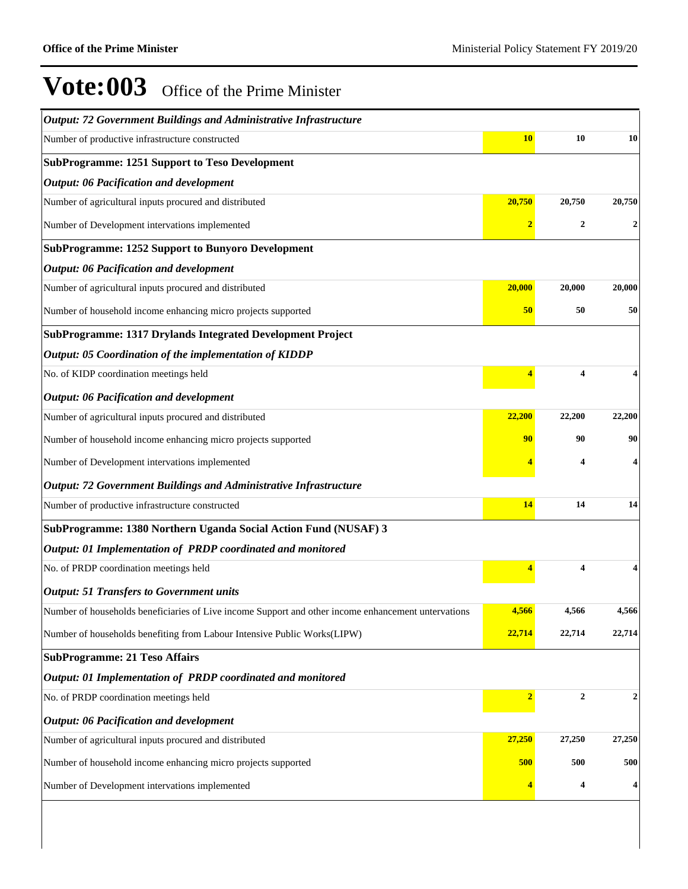| Output: 72 Government Buildings and Administrative Infrastructure                                   |                |                  |        |
|-----------------------------------------------------------------------------------------------------|----------------|------------------|--------|
| Number of productive infrastructure constructed                                                     | <b>10</b>      | 10               | 10     |
| <b>SubProgramme: 1251 Support to Teso Development</b>                                               |                |                  |        |
| <b>Output: 06 Pacification and development</b>                                                      |                |                  |        |
| Number of agricultural inputs procured and distributed                                              | 20,750         | 20,750           | 20,750 |
| Number of Development intervations implemented                                                      | $\overline{2}$ | $\boldsymbol{2}$ | 2      |
| <b>SubProgramme: 1252 Support to Bunyoro Development</b>                                            |                |                  |        |
| <b>Output: 06 Pacification and development</b>                                                      |                |                  |        |
| Number of agricultural inputs procured and distributed                                              | 20,000         | 20,000           | 20,000 |
| Number of household income enhancing micro projects supported                                       | 50             | 50               | 50     |
| SubProgramme: 1317 Drylands Integrated Development Project                                          |                |                  |        |
| Output: 05 Coordination of the implementation of KIDDP                                              |                |                  |        |
| No. of KIDP coordination meetings held                                                              | 4              | 4                |        |
| <b>Output: 06 Pacification and development</b>                                                      |                |                  |        |
| Number of agricultural inputs procured and distributed                                              | 22,200         | 22,200           | 22,200 |
| Number of household income enhancing micro projects supported                                       | 90             | 90               | 90     |
| Number of Development intervations implemented                                                      |                | 4                | 4      |
| <b>Output: 72 Government Buildings and Administrative Infrastructure</b>                            |                |                  |        |
| Number of productive infrastructure constructed                                                     | 14             | 14               | 14     |
| SubProgramme: 1380 Northern Uganda Social Action Fund (NUSAF) 3                                     |                |                  |        |
| Output: 01 Implementation of PRDP coordinated and monitored                                         |                |                  |        |
| No. of PRDP coordination meetings held                                                              | 4              | 4                |        |
| <b>Output: 51 Transfers to Government units</b>                                                     |                |                  |        |
| Number of households beneficiaries of Live income Support and other income enhancement untervations | 4,566          | 4,566            | 4,566  |
| Number of households benefiting from Labour Intensive Public Works(LIPW)                            | 22,714         | 22,714           | 22,714 |
| <b>SubProgramme: 21 Teso Affairs</b>                                                                |                |                  |        |
| Output: 01 Implementation of PRDP coordinated and monitored                                         |                |                  |        |
| No. of PRDP coordination meetings held                                                              | $\overline{2}$ | $\overline{2}$   | 2      |
| <b>Output: 06 Pacification and development</b>                                                      |                |                  |        |
| Number of agricultural inputs procured and distributed                                              | 27,250         | 27,250           | 27,250 |
| Number of household income enhancing micro projects supported                                       | 500            | 500              | 500    |
| Number of Development intervations implemented                                                      |                | 4                | 4      |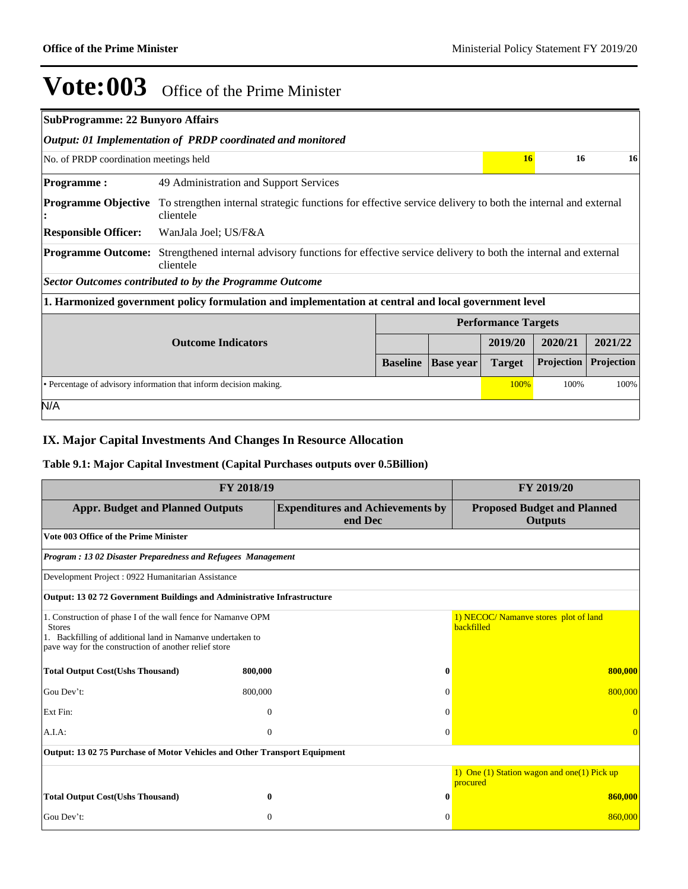|                                        | <b>SubProgramme: 22 Bunyoro Affairs</b>                                                                                  |                 |                  |                            |            |            |  |  |  |
|----------------------------------------|--------------------------------------------------------------------------------------------------------------------------|-----------------|------------------|----------------------------|------------|------------|--|--|--|
|                                        | Output: 01 Implementation of PRDP coordinated and monitored                                                              |                 |                  |                            |            |            |  |  |  |
| No. of PRDP coordination meetings held |                                                                                                                          |                 |                  | 16                         | 16         | 16         |  |  |  |
| <b>Programme:</b>                      | 49 Administration and Support Services                                                                                   |                 |                  |                            |            |            |  |  |  |
| <b>Programme Objective</b><br>÷        | To strengthen internal strategic functions for effective service delivery to both the internal and external<br>clientele |                 |                  |                            |            |            |  |  |  |
| <b>Responsible Officer:</b>            | WanJala Joel; US/F&A                                                                                                     |                 |                  |                            |            |            |  |  |  |
| <b>Programme Outcome:</b>              | Strengthened internal advisory functions for effective service delivery to both the internal and external<br>clientele   |                 |                  |                            |            |            |  |  |  |
|                                        | <b>Sector Outcomes contributed to by the Programme Outcome</b>                                                           |                 |                  |                            |            |            |  |  |  |
|                                        | 1. Harmonized government policy formulation and implementation at central and local government level                     |                 |                  |                            |            |            |  |  |  |
|                                        |                                                                                                                          |                 |                  | <b>Performance Targets</b> |            |            |  |  |  |
|                                        | <b>Outcome Indicators</b>                                                                                                |                 |                  | 2019/20                    | 2020/21    | 2021/22    |  |  |  |
|                                        |                                                                                                                          | <b>Baseline</b> | <b>Base year</b> | <b>Target</b>              | Projection | Projection |  |  |  |
|                                        | • Percentage of advisory information that inform decision making.<br>100%<br>100%                                        |                 |                  |                            |            | 100%       |  |  |  |
| N/A                                    |                                                                                                                          |                 |                  |                            |            |            |  |  |  |

### **IX. Major Capital Investments And Changes In Resource Allocation**

### **Table 9.1: Major Capital Investment (Capital Purchases outputs over 0.5Billion)**

| FY 2018/19                                                                                                                                                                                           | FY 2019/20                                         |                                                          |  |
|------------------------------------------------------------------------------------------------------------------------------------------------------------------------------------------------------|----------------------------------------------------|----------------------------------------------------------|--|
| <b>Appr. Budget and Planned Outputs</b>                                                                                                                                                              | <b>Expenditures and Achievements by</b><br>end Dec | <b>Proposed Budget and Planned</b><br><b>Outputs</b>     |  |
| Vote 003 Office of the Prime Minister                                                                                                                                                                |                                                    |                                                          |  |
| Program: 13 02 Disaster Preparedness and Refugees Management                                                                                                                                         |                                                    |                                                          |  |
| Development Project: 0922 Humanitarian Assistance                                                                                                                                                    |                                                    |                                                          |  |
| Output: 13 02 72 Government Buildings and Administrative Infrastructure                                                                                                                              |                                                    |                                                          |  |
| 1. Construction of phase I of the wall fence for Namanve OPM<br><b>Stores</b><br>1. Backfilling of additional land in Namanve undertaken to<br>pave way for the construction of another relief store |                                                    | 1) NECOC/ Namanye stores plot of land<br>backfilled      |  |
| <b>Total Output Cost(Ushs Thousand)</b><br>800,000                                                                                                                                                   | 0                                                  | 800,000                                                  |  |
| Gou Dev't:<br>800,000                                                                                                                                                                                | 0                                                  | 800,000                                                  |  |
| Ext Fin:                                                                                                                                                                                             | $\mathbf{0}$                                       |                                                          |  |
| A.I.A.                                                                                                                                                                                               | $\Omega$<br>$\Omega$                               |                                                          |  |
| Output: 13 02 75 Purchase of Motor Vehicles and Other Transport Equipment                                                                                                                            |                                                    |                                                          |  |
|                                                                                                                                                                                                      |                                                    | 1) One (1) Station wagon and one (1) Pick up<br>procured |  |
| <b>Total Output Cost(Ushs Thousand)</b>                                                                                                                                                              | $\mathbf{0}$<br>0                                  | 860,000                                                  |  |
| Gou Dev't:                                                                                                                                                                                           | $\Omega$<br>$\Omega$                               | 860,000                                                  |  |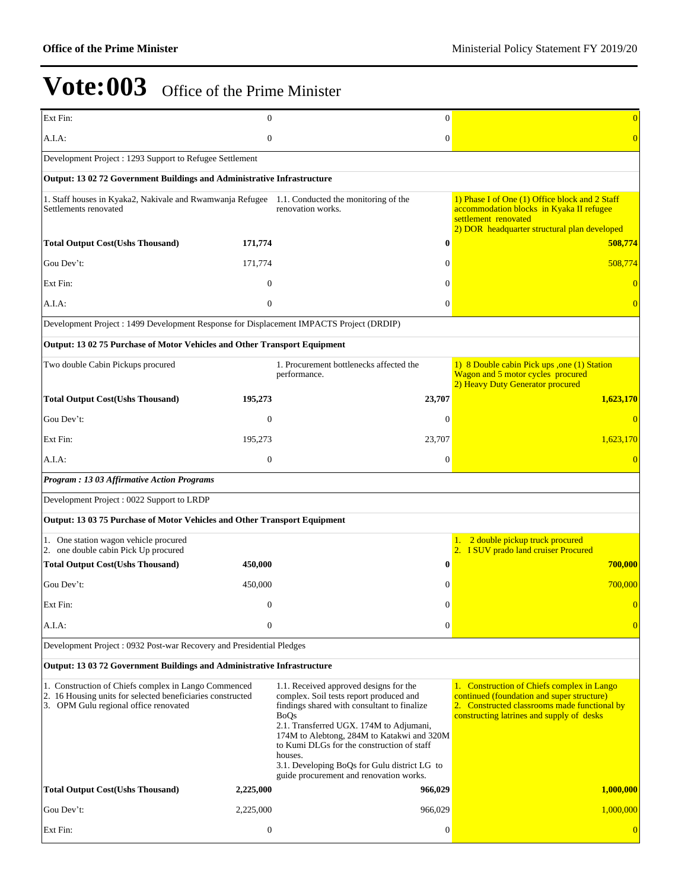| Ext Fin:                                                                                                                                                    | $\mathbf{0}$     | $\mathbf{0}$                                                                                                                                                                                                                                                                                                                                                                                 | $\Omega$                                                                                                                                                                              |
|-------------------------------------------------------------------------------------------------------------------------------------------------------------|------------------|----------------------------------------------------------------------------------------------------------------------------------------------------------------------------------------------------------------------------------------------------------------------------------------------------------------------------------------------------------------------------------------------|---------------------------------------------------------------------------------------------------------------------------------------------------------------------------------------|
| A.I.A:                                                                                                                                                      | $\boldsymbol{0}$ | $\boldsymbol{0}$                                                                                                                                                                                                                                                                                                                                                                             | $\overline{0}$                                                                                                                                                                        |
| Development Project : 1293 Support to Refugee Settlement                                                                                                    |                  |                                                                                                                                                                                                                                                                                                                                                                                              |                                                                                                                                                                                       |
| Output: 13 02 72 Government Buildings and Administrative Infrastructure                                                                                     |                  |                                                                                                                                                                                                                                                                                                                                                                                              |                                                                                                                                                                                       |
| 1. Staff houses in Kyaka2, Nakivale and Rwamwanja Refugee 1.1. Conducted the monitoring of the<br>Settlements renovated                                     |                  | renovation works.                                                                                                                                                                                                                                                                                                                                                                            | 1) Phase I of One (1) Office block and 2 Staff<br>accommodation blocks in Kyaka II refugee<br>settlement renovated<br>2) DOR headquarter structural plan developed                    |
| <b>Total Output Cost(Ushs Thousand)</b>                                                                                                                     | 171,774          | $\bf{0}$                                                                                                                                                                                                                                                                                                                                                                                     | 508,774                                                                                                                                                                               |
| Gou Dev't:                                                                                                                                                  | 171,774          | $\Omega$                                                                                                                                                                                                                                                                                                                                                                                     | 508,774                                                                                                                                                                               |
| Ext Fin:                                                                                                                                                    | $\overline{0}$   | $\Omega$                                                                                                                                                                                                                                                                                                                                                                                     | $\theta$                                                                                                                                                                              |
| $A.I.A$ :                                                                                                                                                   | $\overline{0}$   | $\Omega$                                                                                                                                                                                                                                                                                                                                                                                     | $\theta$                                                                                                                                                                              |
| Development Project : 1499 Development Response for Displacement IMPACTS Project (DRDIP)                                                                    |                  |                                                                                                                                                                                                                                                                                                                                                                                              |                                                                                                                                                                                       |
| Output: 13 02 75 Purchase of Motor Vehicles and Other Transport Equipment                                                                                   |                  |                                                                                                                                                                                                                                                                                                                                                                                              |                                                                                                                                                                                       |
| Two double Cabin Pickups procured                                                                                                                           |                  | 1. Procurement bottlenecks affected the<br>performance.                                                                                                                                                                                                                                                                                                                                      | 1) 8 Double cabin Pick ups , one (1) Station<br>Wagon and 5 motor cycles procured<br>2) Heavy Duty Generator procured                                                                 |
| <b>Total Output Cost(Ushs Thousand)</b>                                                                                                                     | 195,273          | 23,707                                                                                                                                                                                                                                                                                                                                                                                       | 1,623,170                                                                                                                                                                             |
| Gou Dev't:                                                                                                                                                  | $\theta$         | $\Omega$                                                                                                                                                                                                                                                                                                                                                                                     | $\Omega$                                                                                                                                                                              |
| Ext Fin:                                                                                                                                                    | 195,273          | 23,707                                                                                                                                                                                                                                                                                                                                                                                       | 1,623,170                                                                                                                                                                             |
| $A.I.A$ :                                                                                                                                                   | $\overline{0}$   | $\theta$                                                                                                                                                                                                                                                                                                                                                                                     | $\Omega$                                                                                                                                                                              |
| Program : 13 03 Affirmative Action Programs                                                                                                                 |                  |                                                                                                                                                                                                                                                                                                                                                                                              |                                                                                                                                                                                       |
| Development Project: 0022 Support to LRDP                                                                                                                   |                  |                                                                                                                                                                                                                                                                                                                                                                                              |                                                                                                                                                                                       |
| Output: 13 03 75 Purchase of Motor Vehicles and Other Transport Equipment                                                                                   |                  |                                                                                                                                                                                                                                                                                                                                                                                              |                                                                                                                                                                                       |
| 1. One station wagon vehicle procured<br>2. one double cabin Pick Up procured                                                                               |                  |                                                                                                                                                                                                                                                                                                                                                                                              | 1. 2 double pickup truck procured<br>2. I SUV prado land cruiser Procured                                                                                                             |
| <b>Total Output Cost(Ushs Thousand)</b>                                                                                                                     | 450,000          | 0                                                                                                                                                                                                                                                                                                                                                                                            | 700,000                                                                                                                                                                               |
| Gou Dev't:                                                                                                                                                  | 450,000          | $\Omega$                                                                                                                                                                                                                                                                                                                                                                                     | 700,000                                                                                                                                                                               |
| Ext Fin:                                                                                                                                                    | 0                | $\Omega$                                                                                                                                                                                                                                                                                                                                                                                     | $\overline{0}$                                                                                                                                                                        |
| A.I.A:                                                                                                                                                      | $\boldsymbol{0}$ | $\theta$                                                                                                                                                                                                                                                                                                                                                                                     | $\overline{0}$                                                                                                                                                                        |
| Development Project : 0932 Post-war Recovery and Presidential Pledges                                                                                       |                  |                                                                                                                                                                                                                                                                                                                                                                                              |                                                                                                                                                                                       |
| Output: 13 03 72 Government Buildings and Administrative Infrastructure                                                                                     |                  |                                                                                                                                                                                                                                                                                                                                                                                              |                                                                                                                                                                                       |
| 1. Construction of Chiefs complex in Lango Commenced<br>2. 16 Housing units for selected beneficiaries constructed<br>3. OPM Gulu regional office renovated |                  | 1.1. Received approved designs for the<br>complex. Soil tests report produced and<br>findings shared with consultant to finalize<br><b>BoQs</b><br>2.1. Transferred UGX. 174M to Adjumani,<br>174M to Alebtong, 284M to Katakwi and 320M<br>to Kumi DLGs for the construction of staff<br>houses.<br>3.1. Developing BoQs for Gulu district LG to<br>guide procurement and renovation works. | 1. Construction of Chiefs complex in Lango<br>continued (foundation and super structure)<br>2. Constructed classrooms made functional by<br>constructing latrines and supply of desks |
| <b>Total Output Cost(Ushs Thousand)</b>                                                                                                                     | 2,225,000        | 966,029                                                                                                                                                                                                                                                                                                                                                                                      | 1,000,000                                                                                                                                                                             |
| Gou Dev't:                                                                                                                                                  | 2,225,000        | 966,029                                                                                                                                                                                                                                                                                                                                                                                      | 1,000,000                                                                                                                                                                             |
| Ext Fin:                                                                                                                                                    | $\boldsymbol{0}$ | $\boldsymbol{0}$                                                                                                                                                                                                                                                                                                                                                                             | $\overline{0}$                                                                                                                                                                        |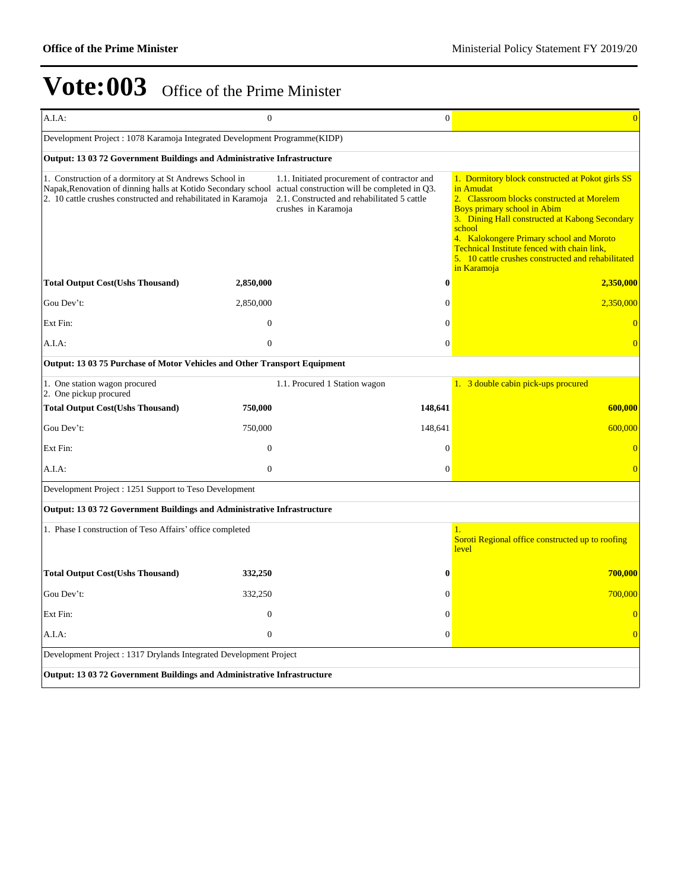| A.I.A:                                                                                                                                                                                                                                 | $\Omega$       |                                                                                                                    | $\boldsymbol{0}$ | $\overline{0}$                                                                                                                                                                                                                                                                                                                                                                |  |  |  |
|----------------------------------------------------------------------------------------------------------------------------------------------------------------------------------------------------------------------------------------|----------------|--------------------------------------------------------------------------------------------------------------------|------------------|-------------------------------------------------------------------------------------------------------------------------------------------------------------------------------------------------------------------------------------------------------------------------------------------------------------------------------------------------------------------------------|--|--|--|
| Development Project : 1078 Karamoja Integrated Development Programme(KIDP)                                                                                                                                                             |                |                                                                                                                    |                  |                                                                                                                                                                                                                                                                                                                                                                               |  |  |  |
| <b>Output: 13 03 72 Government Buildings and Administrative Infrastructure</b>                                                                                                                                                         |                |                                                                                                                    |                  |                                                                                                                                                                                                                                                                                                                                                                               |  |  |  |
| 1. Construction of a dormitory at St Andrews School in<br>Napak, Renovation of dinning halls at Kotido Secondary school actual construction will be completed in Q3.<br>2. 10 cattle crushes constructed and rehabilitated in Karamoja |                | 1.1. Initiated procurement of contractor and<br>2.1. Constructed and rehabilitated 5 cattle<br>crushes in Karamoja |                  | 1. Dormitory block constructed at Pokot girls SS<br>in Amudat<br>2. Classroom blocks constructed at Morelem<br><b>Boys primary school in Abim</b><br>3. Dining Hall constructed at Kabong Secondary<br>school<br>4. Kalokongere Primary school and Moroto<br>Technical Institute fenced with chain link,<br>5. 10 cattle crushes constructed and rehabilitated<br>in Karamoja |  |  |  |
| <b>Total Output Cost(Ushs Thousand)</b>                                                                                                                                                                                                | 2,850,000      |                                                                                                                    | 0                | 2,350,000                                                                                                                                                                                                                                                                                                                                                                     |  |  |  |
| Gou Dev't:                                                                                                                                                                                                                             | 2,850,000      |                                                                                                                    | 0                | 2,350,000                                                                                                                                                                                                                                                                                                                                                                     |  |  |  |
| Ext Fin:                                                                                                                                                                                                                               | $\mathbf{0}$   |                                                                                                                    | $\theta$         | $\Omega$                                                                                                                                                                                                                                                                                                                                                                      |  |  |  |
| A.I.A.                                                                                                                                                                                                                                 | $\overline{0}$ |                                                                                                                    | $\overline{0}$   | $\Omega$                                                                                                                                                                                                                                                                                                                                                                      |  |  |  |
| Output: 13 03 75 Purchase of Motor Vehicles and Other Transport Equipment                                                                                                                                                              |                |                                                                                                                    |                  |                                                                                                                                                                                                                                                                                                                                                                               |  |  |  |
| 1. One station wagon procured<br>2. One pickup procured                                                                                                                                                                                |                | 1.1. Procured 1 Station wagon                                                                                      |                  | 1. 3 double cabin pick-ups procured                                                                                                                                                                                                                                                                                                                                           |  |  |  |
| <b>Total Output Cost(Ushs Thousand)</b>                                                                                                                                                                                                | 750,000        | 148,641                                                                                                            |                  | 600,000                                                                                                                                                                                                                                                                                                                                                                       |  |  |  |
| Gou Dev't:                                                                                                                                                                                                                             | 750,000        | 148,641                                                                                                            |                  | 600,000                                                                                                                                                                                                                                                                                                                                                                       |  |  |  |
| Ext Fin:                                                                                                                                                                                                                               | $\Omega$       |                                                                                                                    | $\theta$         | $\overline{0}$                                                                                                                                                                                                                                                                                                                                                                |  |  |  |
| A.I.A:                                                                                                                                                                                                                                 | $\theta$       |                                                                                                                    | $\mathbf{0}$     | $\Omega$                                                                                                                                                                                                                                                                                                                                                                      |  |  |  |
| Development Project : 1251 Support to Teso Development                                                                                                                                                                                 |                |                                                                                                                    |                  |                                                                                                                                                                                                                                                                                                                                                                               |  |  |  |
| <b>Output: 13 03 72 Government Buildings and Administrative Infrastructure</b>                                                                                                                                                         |                |                                                                                                                    |                  |                                                                                                                                                                                                                                                                                                                                                                               |  |  |  |
| 1. Phase I construction of Teso Affairs' office completed                                                                                                                                                                              |                |                                                                                                                    |                  | 1.<br>Soroti Regional office constructed up to roofing<br>level                                                                                                                                                                                                                                                                                                               |  |  |  |
| <b>Total Output Cost(Ushs Thousand)</b>                                                                                                                                                                                                | 332,250        |                                                                                                                    | 0                | 700,000                                                                                                                                                                                                                                                                                                                                                                       |  |  |  |
| Gou Dev't:                                                                                                                                                                                                                             | 332,250        |                                                                                                                    | 0                | 700,000                                                                                                                                                                                                                                                                                                                                                                       |  |  |  |
| Ext Fin:                                                                                                                                                                                                                               | $\overline{0}$ |                                                                                                                    | $\overline{0}$   | $\overline{0}$                                                                                                                                                                                                                                                                                                                                                                |  |  |  |
| A.I.A:                                                                                                                                                                                                                                 | $\mathbf{0}$   |                                                                                                                    | $\overline{0}$   | $\overline{0}$                                                                                                                                                                                                                                                                                                                                                                |  |  |  |
| Development Project : 1317 Drylands Integrated Development Project                                                                                                                                                                     |                |                                                                                                                    |                  |                                                                                                                                                                                                                                                                                                                                                                               |  |  |  |
| Output: 13 03 72 Government Buildings and Administrative Infrastructure                                                                                                                                                                |                |                                                                                                                    |                  |                                                                                                                                                                                                                                                                                                                                                                               |  |  |  |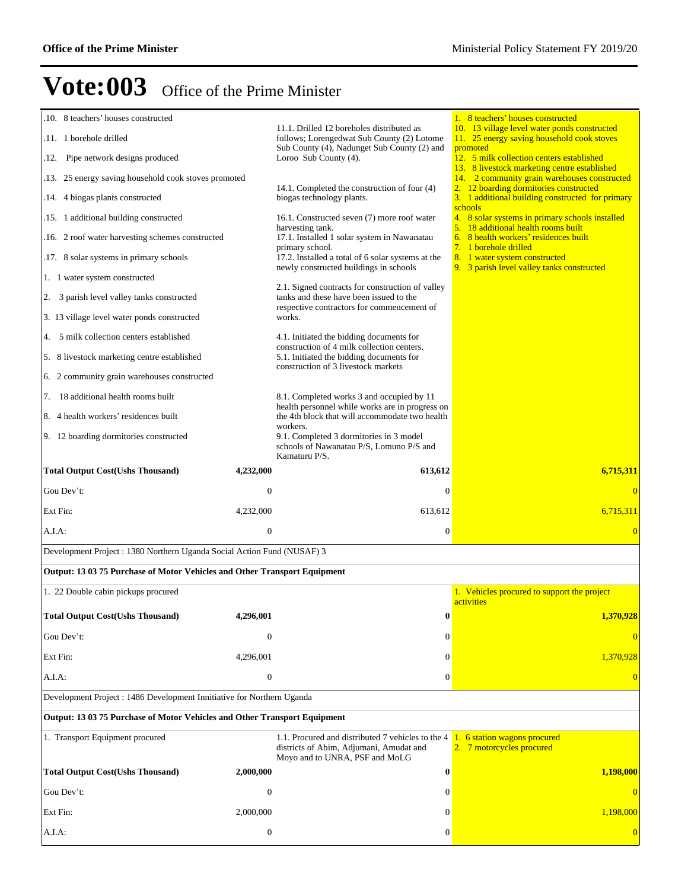| .10. 8 teachers' houses constructed                                       |                  |                                                                                                                                | 1. 8 teachers' houses constructed                                                                 |  |  |  |
|---------------------------------------------------------------------------|------------------|--------------------------------------------------------------------------------------------------------------------------------|---------------------------------------------------------------------------------------------------|--|--|--|
| .11. 1 borehole drilled                                                   |                  | 11.1. Drilled 12 boreholes distributed as<br>follows; Lorengedwat Sub County (2) Lotome                                        | 10. 13 village level water ponds constructed<br>11. 25 energy saving household cook stoves        |  |  |  |
| .12. Pipe network designs produced                                        |                  | Sub County (4), Nadunget Sub County (2) and<br>Loroo Sub County (4).                                                           | promoted<br>12. 5 milk collection centers established                                             |  |  |  |
| .13. 25 energy saving household cook stoves promoted                      |                  |                                                                                                                                | 13. 8 livestock marketing centre established<br>14. 2 community grain warehouses constructed      |  |  |  |
| .14. 4 biogas plants constructed                                          |                  | 14.1. Completed the construction of four (4)<br>biogas technology plants.                                                      | 2. 12 boarding dormitories constructed<br>3. 1 additional building constructed for primary        |  |  |  |
| .15. 1 additional building constructed                                    |                  | 16.1. Constructed seven (7) more roof water                                                                                    | schools<br>4. 8 solar systems in primary schools installed<br>5. 18 additional health rooms built |  |  |  |
| .16. 2 roof water harvesting schemes constructed                          |                  | harvesting tank.<br>17.1. Installed 1 solar system in Nawanatau<br>primary school.                                             | 6. 8 health workers' residences built<br>7. 1 borehole drilled                                    |  |  |  |
| .17. 8 solar systems in primary schools                                   |                  | 17.2. Installed a total of 6 solar systems at the<br>newly constructed buildings in schools                                    | 8. 1 water system constructed<br>9. 3 parish level valley tanks constructed                       |  |  |  |
| 1. 1 water system constructed                                             |                  |                                                                                                                                |                                                                                                   |  |  |  |
| 2. 3 parish level valley tanks constructed                                |                  | 2.1. Signed contracts for construction of valley<br>tanks and these have been issued to the                                    |                                                                                                   |  |  |  |
| 3. 13 village level water ponds constructed                               |                  | respective contractors for commencement of<br>works.                                                                           |                                                                                                   |  |  |  |
| 4. 5 milk collection centers established                                  |                  | 4.1. Initiated the bidding documents for<br>construction of 4 milk collection centers.                                         |                                                                                                   |  |  |  |
| 5. 8 livestock marketing centre established                               |                  | 5.1. Initiated the bidding documents for<br>construction of 3 livestock markets                                                |                                                                                                   |  |  |  |
| 6. 2 community grain warehouses constructed                               |                  |                                                                                                                                |                                                                                                   |  |  |  |
| 7. 18 additional health rooms built                                       |                  | 8.1. Completed works 3 and occupied by 11                                                                                      |                                                                                                   |  |  |  |
| 8. 4 health workers' residences built                                     |                  | health personnel while works are in progress on<br>the 4th block that will accommodate two health                              |                                                                                                   |  |  |  |
| 9. 12 boarding dormitories constructed                                    |                  | workers.<br>9.1. Completed 3 dormitories in 3 model<br>schools of Nawanatau P/S, Lomuno P/S and<br>Kamaturu P/S.               |                                                                                                   |  |  |  |
| <b>Total Output Cost(Ushs Thousand)</b>                                   | 4,232,000        | 613,612                                                                                                                        | 6,715,311                                                                                         |  |  |  |
| Gou Dev't:                                                                | $\mathbf{0}$     | $\mathbf{0}$                                                                                                                   |                                                                                                   |  |  |  |
| Ext Fin:                                                                  | 4,232,000        | 613,612                                                                                                                        | 6,715,311                                                                                         |  |  |  |
| A.I.A:                                                                    | $\mathbf{0}$     | $\boldsymbol{0}$                                                                                                               | $\overline{0}$                                                                                    |  |  |  |
| Development Project: 1380 Northern Uganda Social Action Fund (NUSAF) 3    |                  |                                                                                                                                |                                                                                                   |  |  |  |
| Output: 13 03 75 Purchase of Motor Vehicles and Other Transport Equipment |                  |                                                                                                                                |                                                                                                   |  |  |  |
| 1. 22 Double cabin pickups procured                                       |                  |                                                                                                                                | 1. Vehicles procured to support the project<br>activities                                         |  |  |  |
| <b>Total Output Cost(Ushs Thousand)</b>                                   | 4,296,001        |                                                                                                                                |                                                                                                   |  |  |  |
| Gou Dev't:                                                                |                  | $\bf{0}$                                                                                                                       | 1,370,928                                                                                         |  |  |  |
|                                                                           | $\mathbf{0}$     | $\Omega$                                                                                                                       |                                                                                                   |  |  |  |
| Ext Fin:                                                                  | 4,296,001        | $\Omega$                                                                                                                       | 1,370,928                                                                                         |  |  |  |
| A.I.A:                                                                    | $\boldsymbol{0}$ | $\mathbf{0}$                                                                                                                   |                                                                                                   |  |  |  |
| Development Project : 1486 Development Innitiative for Northern Uganda    |                  |                                                                                                                                |                                                                                                   |  |  |  |
| Output: 13 03 75 Purchase of Motor Vehicles and Other Transport Equipment |                  |                                                                                                                                |                                                                                                   |  |  |  |
| 1. Transport Equipment procured                                           |                  | 1.1. Procured and distributed 7 vehicles to the 4<br>districts of Abim, Adjumani, Amudat and<br>Moyo and to UNRA, PSF and MoLG | 1. 6 station wagons procured<br>2. 7 motorcycles procured                                         |  |  |  |
| <b>Total Output Cost(Ushs Thousand)</b>                                   | 2,000,000        | $\bf{0}$                                                                                                                       | 1,198,000                                                                                         |  |  |  |
| Gou Dev't:                                                                | $\mathbf{0}$     | $\mathbf{0}$                                                                                                                   | $\overline{0}$                                                                                    |  |  |  |
| Ext Fin:                                                                  | 2,000,000        | $\mathbf{0}$                                                                                                                   | 1,198,000                                                                                         |  |  |  |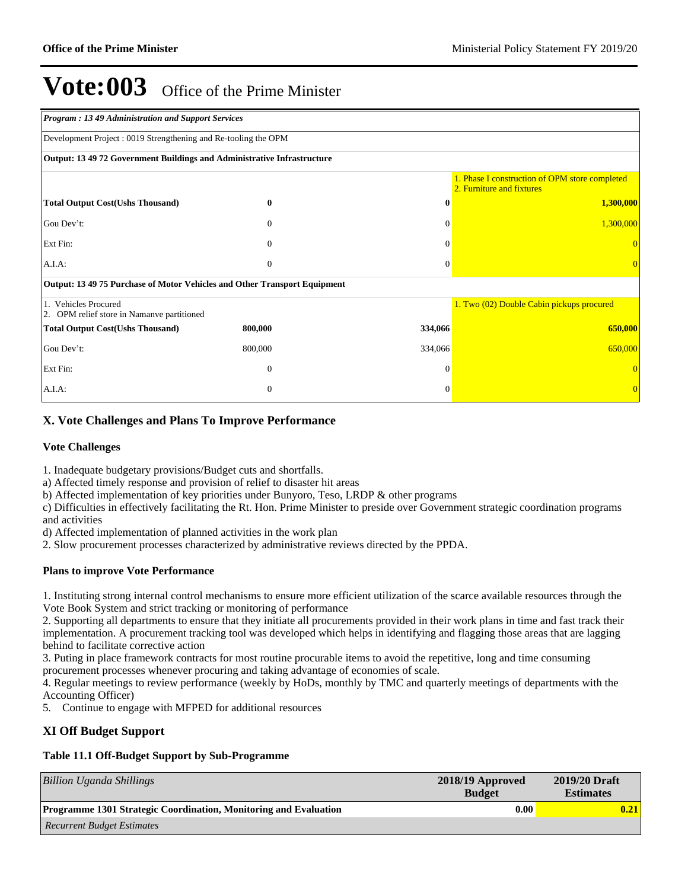| <b>Program: 13 49 Administration and Support Services</b>                      |                                                                |          |                                           |  |  |  |
|--------------------------------------------------------------------------------|----------------------------------------------------------------|----------|-------------------------------------------|--|--|--|
|                                                                                | Development Project: 0019 Strengthening and Re-tooling the OPM |          |                                           |  |  |  |
| <b>Output: 13 49 72 Government Buildings and Administrative Infrastructure</b> |                                                                |          |                                           |  |  |  |
| 1. Phase I construction of OPM store completed<br>2. Furniture and fixtures    |                                                                |          |                                           |  |  |  |
| <b>Total Output Cost(Ushs Thousand)</b>                                        | 0                                                              | $\bf{0}$ | 1,300,000                                 |  |  |  |
| Gou Dev't:                                                                     | $\mathbf{0}$                                                   | $\Omega$ | 1,300,000                                 |  |  |  |
| Ext Fin:                                                                       | $\Omega$                                                       | $\Omega$ |                                           |  |  |  |
| $A.I.A$ :                                                                      | $\boldsymbol{0}$                                               | $\theta$ |                                           |  |  |  |
| Output: 13 49 75 Purchase of Motor Vehicles and Other Transport Equipment      |                                                                |          |                                           |  |  |  |
| 1. Vehicles Procured<br>2. OPM relief store in Namanve partitioned             |                                                                |          | 1. Two (02) Double Cabin pickups procured |  |  |  |
| <b>Total Output Cost(Ushs Thousand)</b>                                        | 800,000                                                        | 334,066  | 650,000                                   |  |  |  |
| Gou Dev't:                                                                     | 800,000                                                        | 334,066  | 650,000                                   |  |  |  |
| Ext Fin:                                                                       | $\mathbf{0}$                                                   | $\Omega$ |                                           |  |  |  |
| A.I.A.                                                                         | $\mathbf{0}$                                                   | $\Omega$ |                                           |  |  |  |

### **X. Vote Challenges and Plans To Improve Performance**

#### **Vote Challenges**

1. Inadequate budgetary provisions/Budget cuts and shortfalls.

a) Affected timely response and provision of relief to disaster hit areas

b) Affected implementation of key priorities under Bunyoro, Teso, LRDP & other programs

c) Difficulties in effectively facilitating the Rt. Hon. Prime Minister to preside over Government strategic coordination programs and activities

d) Affected implementation of planned activities in the work plan

2. Slow procurement processes characterized by administrative reviews directed by the PPDA.

#### **Plans to improve Vote Performance**

1. Instituting strong internal control mechanisms to ensure more efficient utilization of the scarce available resources through the Vote Book System and strict tracking or monitoring of performance

2. Supporting all departments to ensure that they initiate all procurements provided in their work plans in time and fast track their implementation. A procurement tracking tool was developed which helps in identifying and flagging those areas that are lagging behind to facilitate corrective action

3. Puting in place framework contracts for most routine procurable items to avoid the repetitive, long and time consuming procurement processes whenever procuring and taking advantage of economies of scale.

4. Regular meetings to review performance (weekly by HoDs, monthly by TMC and quarterly meetings of departments with the Accounting Officer)

5. Continue to engage with MFPED for additional resources

#### **XI Off Budget Support**

### **Table 11.1 Off-Budget Support by Sub-Programme**

| Billion Uganda Shillings                                                | 2018/19 Approved<br><b>Budget</b> | 2019/20 Draft<br><b>Estimates</b> |
|-------------------------------------------------------------------------|-----------------------------------|-----------------------------------|
| <b>Programme 1301 Strategic Coordination, Monitoring and Evaluation</b> | 0.00                              | 0.21                              |
| <b>Recurrent Budget Estimates</b>                                       |                                   |                                   |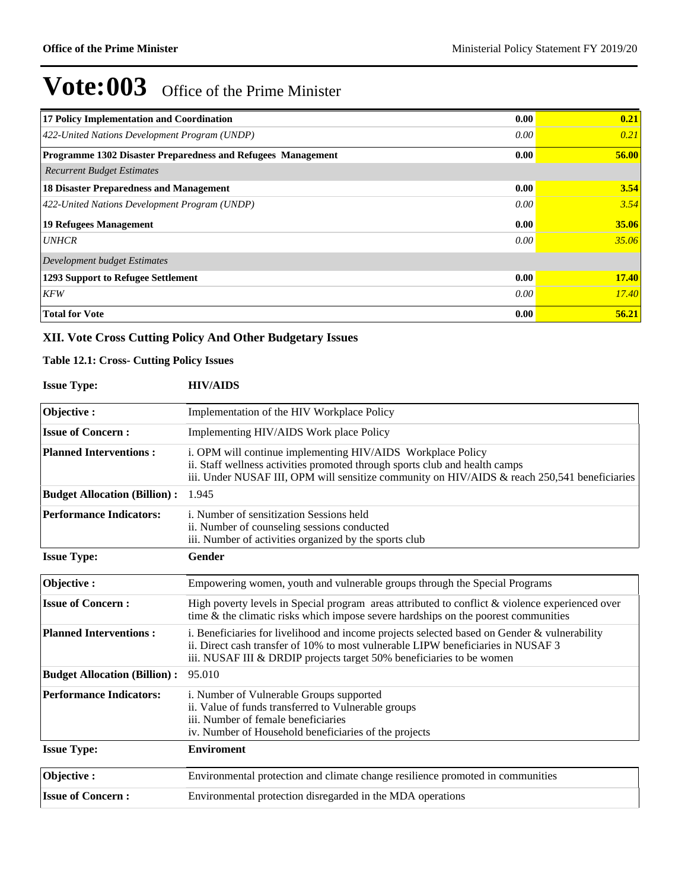| 17 Policy Implementation and Coordination                           | 0.00 | 0.21         |
|---------------------------------------------------------------------|------|--------------|
| 422-United Nations Development Program (UNDP)                       | 0.00 | 0.21         |
| <b>Programme 1302 Disaster Preparedness and Refugees Management</b> | 0.00 | 56.00        |
| <b>Recurrent Budget Estimates</b>                                   |      |              |
| <b>18 Disaster Preparedness and Management</b>                      | 0.00 | 3.54         |
| 422-United Nations Development Program (UNDP)                       | 0.00 | 3.54         |
| 19 Refugees Management                                              | 0.00 | 35.06        |
| <b>UNHCR</b>                                                        | 0.00 | 35.06        |
| Development budget Estimates                                        |      |              |
| 1293 Support to Refugee Settlement                                  | 0.00 | <b>17.40</b> |
| <b>KFW</b>                                                          | 0.00 | <i>17.40</i> |
| <b>Total for Vote</b>                                               | 0.00 | 56.21        |

### **XII. Vote Cross Cutting Policy And Other Budgetary Issues**

#### **Table 12.1: Cross- Cutting Policy Issues**

#### **Issue Type: HIV/AIDS**

| Objective:                          | Implementation of the HIV Workplace Policy                                                                                                                                                                                                               |
|-------------------------------------|----------------------------------------------------------------------------------------------------------------------------------------------------------------------------------------------------------------------------------------------------------|
| <b>Issue of Concern:</b>            | Implementing HIV/AIDS Work place Policy                                                                                                                                                                                                                  |
| <b>Planned Interventions:</b>       | i. OPM will continue implementing HIV/AIDS Workplace Policy<br>ii. Staff wellness activities promoted through sports club and health camps<br>iii. Under NUSAF III, OPM will sensitize community on HIV/AIDS & reach 250,541 beneficiaries               |
| <b>Budget Allocation (Billion):</b> | 1.945                                                                                                                                                                                                                                                    |
| <b>Performance Indicators:</b>      | <i>i.</i> Number of sensitization Sessions held<br>ii. Number of counseling sessions conducted<br>iii. Number of activities organized by the sports club                                                                                                 |
| <b>Issue Type:</b>                  | Gender                                                                                                                                                                                                                                                   |
| Objective:                          | Empowering women, youth and vulnerable groups through the Special Programs                                                                                                                                                                               |
| <b>Issue of Concern:</b>            | High poverty levels in Special program areas attributed to conflict & violence experienced over<br>time $\&$ the climatic risks which impose severe hardships on the poorest communities                                                                 |
| <b>Planned Interventions:</b>       | i. Beneficiaries for livelihood and income projects selected based on Gender & vulnerability<br>ii. Direct cash transfer of 10% to most vulnerable LIPW beneficiaries in NUSAF 3<br>iii. NUSAF III & DRDIP projects target 50% beneficiaries to be women |
| <b>Budget Allocation (Billion):</b> | 95.010                                                                                                                                                                                                                                                   |
| <b>Performance Indicators:</b>      | i. Number of Vulnerable Groups supported<br>ii. Value of funds transferred to Vulnerable groups<br>iii. Number of female beneficiaries<br>iv. Number of Household beneficiaries of the projects                                                          |
| <b>Issue Type:</b>                  | <b>Enviroment</b>                                                                                                                                                                                                                                        |
| Objective:                          | Environmental protection and climate change resilience promoted in communities                                                                                                                                                                           |
| <b>Issue of Concern:</b>            | Environmental protection disregarded in the MDA operations                                                                                                                                                                                               |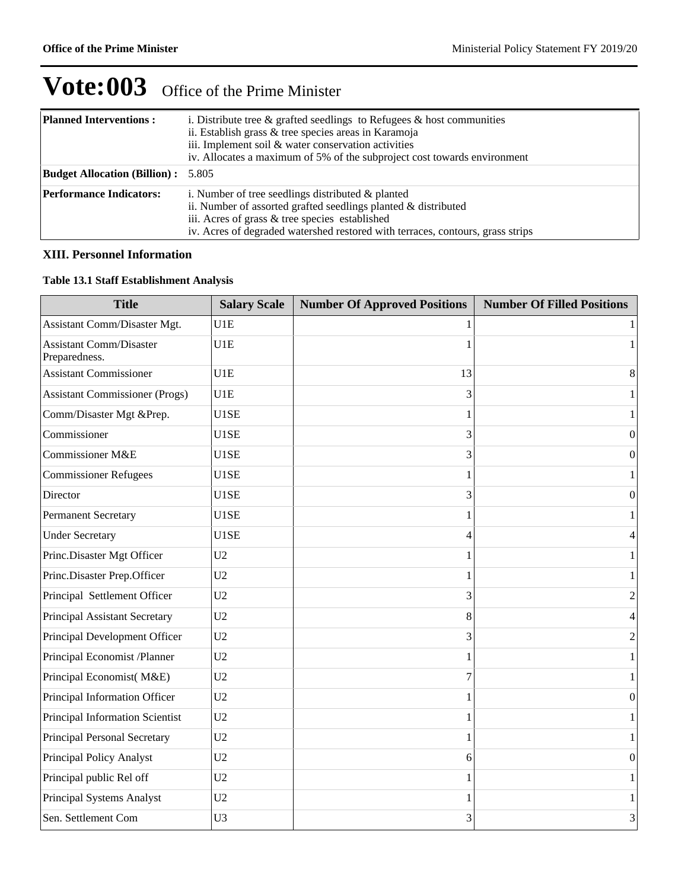| <b>Planned Interventions:</b>             | i. Distribute tree $\&$ grafted seedlings to Refugees $\&$ host communities<br>ii. Establish grass & tree species areas in Karamoja<br>iii. Implement soil & water conservation activities<br>iv. Allocates a maximum of 5% of the subproject cost towards environment |
|-------------------------------------------|------------------------------------------------------------------------------------------------------------------------------------------------------------------------------------------------------------------------------------------------------------------------|
| <b>Budget Allocation (Billion):</b> 5.805 |                                                                                                                                                                                                                                                                        |
| <b>Performance Indicators:</b>            | i. Number of tree seedlings distributed $\&$ planted<br>ii. Number of assorted grafted seedlings planted $\&$ distributed<br>iii. Acres of grass & tree species established<br>iv. Acres of degraded watershed restored with terraces, contours, grass strips          |

### **XIII. Personnel Information**

#### **Table 13.1 Staff Establishment Analysis**

| <b>Title</b>                                    | <b>Salary Scale</b> | <b>Number Of Approved Positions</b> | <b>Number Of Filled Positions</b> |
|-------------------------------------------------|---------------------|-------------------------------------|-----------------------------------|
| Assistant Comm/Disaster Mgt.                    | U1E                 |                                     | 1                                 |
| <b>Assistant Comm/Disaster</b><br>Preparedness. | U1E                 |                                     | $\mathbf{1}$                      |
| <b>Assistant Commissioner</b>                   | U1E                 | 13                                  | 8                                 |
| <b>Assistant Commissioner (Progs)</b>           | U1E                 | 3                                   | $\mathbf{1}$                      |
| Comm/Disaster Mgt &Prep.                        | U1SE                |                                     | $\mathbf{1}$                      |
| Commissioner                                    | U1SE                | 3                                   | $\boldsymbol{0}$                  |
| Commissioner M&E                                | U1SE                | 3                                   | $\boldsymbol{0}$                  |
| <b>Commissioner Refugees</b>                    | U1SE                |                                     | $\mathbf{1}$                      |
| Director                                        | U1SE                | 3                                   | $\boldsymbol{0}$                  |
| <b>Permanent Secretary</b>                      | U1SE                |                                     | 1                                 |
| <b>Under Secretary</b>                          | U1SE                | $\overline{\mathcal{A}}$            | $\overline{4}$                    |
| Princ.Disaster Mgt Officer                      | U <sub>2</sub>      |                                     | $\mathbf{1}$                      |
| Princ.Disaster Prep.Officer                     | U <sub>2</sub>      |                                     | $\mathbf{1}$                      |
| Principal Settlement Officer                    | U <sub>2</sub>      | 3                                   | $\sqrt{2}$                        |
| Principal Assistant Secretary                   | U <sub>2</sub>      | 8                                   | $\overline{4}$                    |
| Principal Development Officer                   | U2                  | 3                                   | $\sqrt{2}$                        |
| Principal Economist /Planner                    | U <sub>2</sub>      | 1                                   | $\mathbf{1}$                      |
| Principal Economist(M&E)                        | U <sub>2</sub>      | 7                                   | $\mathbf{1}$                      |
| Principal Information Officer                   | U <sub>2</sub>      |                                     | $\boldsymbol{0}$                  |
| Principal Information Scientist                 | U2                  |                                     | 1                                 |
| Principal Personal Secretary                    | U <sub>2</sub>      |                                     | $\mathbf{1}$                      |
| Principal Policy Analyst                        | U2                  | 6                                   | $\boldsymbol{0}$                  |
| Principal public Rel off                        | U2                  |                                     | $\mathbf{1}$                      |
| Principal Systems Analyst                       | U <sub>2</sub>      |                                     | $\mathbf{1}$                      |
| Sen. Settlement Com                             | U <sub>3</sub>      | 3                                   | 3                                 |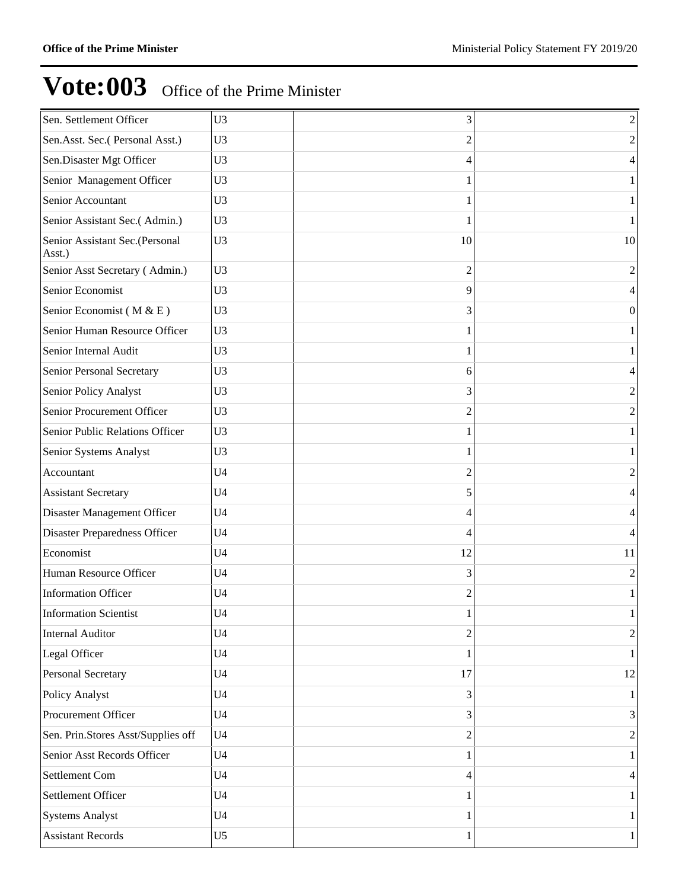| Sen. Settlement Officer                  | U <sub>3</sub> | 3              | $\overline{c}$ |
|------------------------------------------|----------------|----------------|----------------|
| Sen.Asst. Sec.(Personal Asst.)           | U <sub>3</sub> | 2              | $\overline{c}$ |
| Sen.Disaster Mgt Officer                 | U <sub>3</sub> | 4              | 4              |
| Senior Management Officer                | U <sub>3</sub> | 1              |                |
| Senior Accountant                        | U <sub>3</sub> | 1              |                |
| Senior Assistant Sec.(Admin.)            | U <sub>3</sub> | 1              |                |
| Senior Assistant Sec.(Personal<br>Asst.) | U <sub>3</sub> | 10             | 10             |
| Senior Asst Secretary (Admin.)           | U3             | $\overline{2}$ | $\overline{2}$ |
| Senior Economist                         | U <sub>3</sub> | 9              |                |
| Senior Economist (M & E)                 | U <sub>3</sub> | 3              | $\theta$       |
| Senior Human Resource Officer            | U <sub>3</sub> |                |                |
| Senior Internal Audit                    | U <sub>3</sub> | 1              |                |
| Senior Personal Secretary                | U <sub>3</sub> | 6              | 4              |
| Senior Policy Analyst                    | U <sub>3</sub> | 3              | $\overline{2}$ |
| Senior Procurement Officer               | U <sub>3</sub> | 2              | 2              |
| Senior Public Relations Officer          | U <sub>3</sub> |                |                |
| Senior Systems Analyst                   | U <sub>3</sub> | 1              |                |
| Accountant                               | U <sub>4</sub> | 2              | $\overline{2}$ |
| <b>Assistant Secretary</b>               | U <sub>4</sub> | 5              | 4              |
| Disaster Management Officer              | U <sub>4</sub> | 4              | 4              |
| <b>Disaster Preparedness Officer</b>     | U <sub>4</sub> | 4              |                |
| Economist                                | U <sub>4</sub> | 12             | 11             |
| Human Resource Officer                   | U <sub>4</sub> | 3              | $\overline{2}$ |
| <b>Information Officer</b>               | U <sub>4</sub> | 2              |                |
| <b>Information Scientist</b>             | U <sub>4</sub> | 1              | 1              |
| <b>Internal Auditor</b>                  | U <sub>4</sub> | $\overline{2}$ | $\overline{2}$ |
| Legal Officer                            | U <sub>4</sub> | 1              |                |
| <b>Personal Secretary</b>                | U <sub>4</sub> | 17             | 12             |
| Policy Analyst                           | U <sub>4</sub> | 3              |                |
| Procurement Officer                      | U <sub>4</sub> | 3              | 3              |
| Sen. Prin.Stores Asst/Supplies off       | U <sub>4</sub> | $\overline{2}$ | $\overline{2}$ |
| Senior Asst Records Officer              | U <sub>4</sub> | 1              |                |
| Settlement Com                           | U <sub>4</sub> | 4              | 4              |
| Settlement Officer                       | U <sub>4</sub> | 1              |                |
| <b>Systems Analyst</b>                   | U <sub>4</sub> | 1              | 1              |
| <b>Assistant Records</b>                 | U <sub>5</sub> | 1              | $\mathbf{1}$   |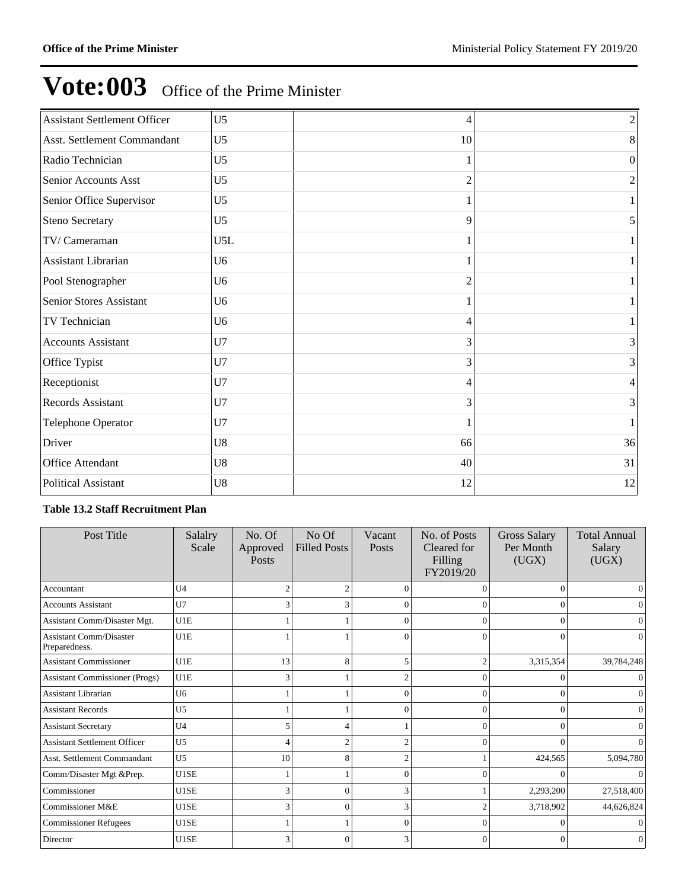| <b>Assistant Settlement Officer</b> | U <sub>5</sub> | 4                        | $\overline{c}$ |
|-------------------------------------|----------------|--------------------------|----------------|
| Asst. Settlement Commandant         | U <sub>5</sub> | 10                       | 8              |
| Radio Technician                    | U <sub>5</sub> | 1                        | $\Omega$       |
| Senior Accounts Asst                | U <sub>5</sub> | 2                        | $\overline{2}$ |
| Senior Office Supervisor            | U <sub>5</sub> |                          |                |
| Steno Secretary                     | U <sub>5</sub> | 9                        |                |
| TV/Cameraman                        | U5L            |                          |                |
| Assistant Librarian                 | U <sub>6</sub> |                          |                |
| Pool Stenographer                   | U <sub>6</sub> | $\overline{\mathcal{L}}$ |                |
| Senior Stores Assistant             | U <sub>6</sub> |                          |                |
| TV Technician                       | U <sub>6</sub> | 4                        |                |
| <b>Accounts Assistant</b>           | U7             | 3                        | 3              |
| Office Typist                       | U7             | 3                        | 3              |
| Receptionist                        | U7             | 4                        | 4              |
| Records Assistant                   | U7             | 3                        | 3              |
| Telephone Operator                  | U7             |                          |                |
| Driver                              | U8             | 66                       | 36             |
| Office Attendant                    | U <sub>8</sub> | 40                       | 31             |
| Political Assistant                 | U <sub>8</sub> | 12                       | 12             |
|                                     |                |                          |                |

### **Table 13.2 Staff Recruitment Plan**

| Post Title                                      | Salalry<br>Scale | No. Of<br>Approved<br>Posts | No Of<br><b>Filled Posts</b> | Vacant<br>Posts | No. of Posts<br>Cleared for<br>Filling<br>FY2019/20 | <b>Gross Salary</b><br>Per Month<br>(UGX) | <b>Total Annual</b><br>Salary<br>(UGX) |
|-------------------------------------------------|------------------|-----------------------------|------------------------------|-----------------|-----------------------------------------------------|-------------------------------------------|----------------------------------------|
| Accountant                                      | U4               | $\overline{2}$              |                              | $\Omega$        | O                                                   | $\Omega$                                  | 0                                      |
| <b>Accounts Assistant</b>                       | U7               | 3                           |                              | $\Omega$        | $\Omega$                                            | $\Omega$                                  | 0                                      |
| Assistant Comm/Disaster Mgt.                    | U1E              |                             |                              | $\Omega$        | $\Omega$                                            | $\Omega$                                  |                                        |
| <b>Assistant Comm/Disaster</b><br>Preparedness. | U1E              |                             |                              | $\theta$        | $\Omega$                                            | $\mathbf{0}$                              | 0                                      |
| <b>Assistant Commissioner</b>                   | U1E              | 13                          |                              | 5               |                                                     | 3,315,354                                 | 39,784,248                             |
| <b>Assistant Commissioner (Progs)</b>           | U1E              | 3                           |                              |                 | $\Omega$                                            | 0                                         |                                        |
| <b>Assistant Librarian</b>                      | U <sub>6</sub>   |                             |                              | $\Omega$        | $\Omega$                                            | $\Omega$                                  | $\Omega$                               |
| <b>Assistant Records</b>                        | U <sub>5</sub>   |                             |                              | $\Omega$        | $\Omega$                                            | $\Omega$                                  | 0                                      |
| <b>Assistant Secretary</b>                      | U <sub>4</sub>   | 5                           |                              |                 | $\Omega$                                            | $\Omega$                                  | $\Omega$                               |
| <b>Assistant Settlement Officer</b>             | U <sub>5</sub>   | $\overline{4}$              |                              | 2               | $\Omega$                                            | $\Omega$                                  |                                        |
| Asst. Settlement Commandant                     | U <sub>5</sub>   | 10                          | 8                            | $\overline{c}$  |                                                     | 424,565                                   | 5,094,780                              |
| Comm/Disaster Mgt &Prep.                        | U1SE             |                             |                              | $\Omega$        | 0                                                   | 0                                         |                                        |
| Commissioner                                    | U1SE             | 3                           |                              | 3               |                                                     | 2,293,200                                 | 27,518,400                             |
| Commissioner M&E                                | U1SE             | 3                           | $\Omega$                     | 3               |                                                     | 3,718,902                                 | 44,626,824                             |
| <b>Commissioner Refugees</b>                    | U1SE             |                             |                              | $\Omega$        | $\Omega$                                            | 0                                         |                                        |
| Director                                        | U1SE             | 3                           | O                            | 3               | 0                                                   | $\Omega$                                  | 0                                      |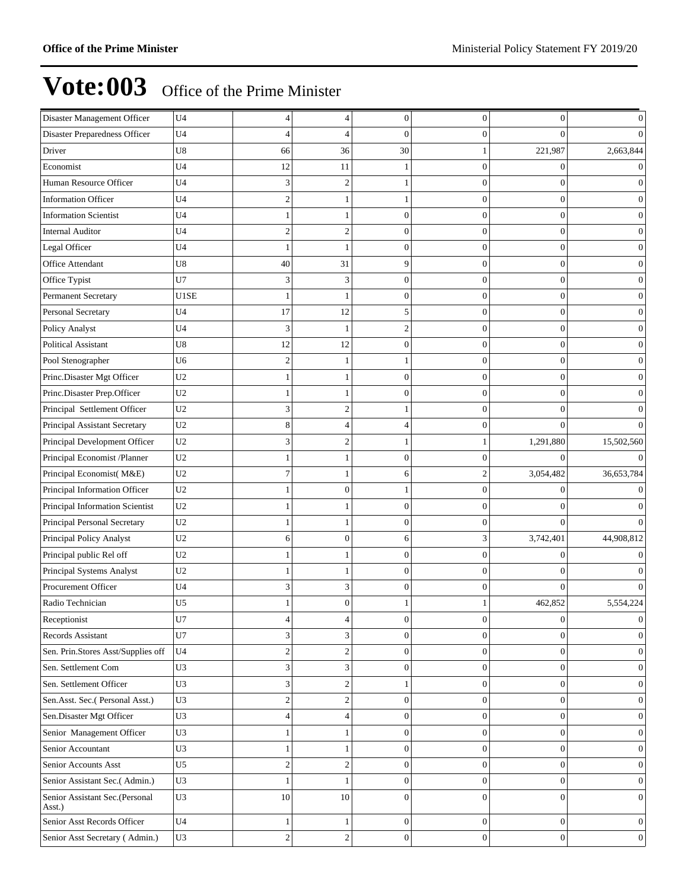| Disaster Management Officer              | U <sub>4</sub> | $\overline{4}$ | 4                | $\mathbf{0}$     | 0                | $\boldsymbol{0}$ | $\boldsymbol{0}$ |
|------------------------------------------|----------------|----------------|------------------|------------------|------------------|------------------|------------------|
| Disaster Preparedness Officer            | U <sub>4</sub> | 4              | 4                | 0                | $\Omega$         | 0                | $\Omega$         |
| Driver                                   | U8             | 66             | 36               | 30               |                  | 221,987          | 2,663,844        |
| Economist                                | U4             | 12             | 11               |                  | $\Omega$         | 0                | $\vert 0 \vert$  |
| Human Resource Officer                   | U <sub>4</sub> | 3              | $\overline{c}$   |                  | $\Omega$         | $\mathbf{0}$     | $\Omega$         |
| <b>Information Officer</b>               | U <sub>4</sub> | $\overline{c}$ | 1                |                  | $\overline{0}$   | $\boldsymbol{0}$ | $\mathbf{0}$     |
| <b>Information Scientist</b>             | U <sub>4</sub> | -1             | 1                | 0                | 0                | $\mathbf{0}$     | $\boldsymbol{0}$ |
| <b>Internal Auditor</b>                  | U4             | $\overline{c}$ | $\overline{c}$   | $\theta$         |                  | $\overline{0}$   | $\overline{0}$   |
| Legal Officer                            | U4             | $\mathbf{1}$   |                  | $\mathbf{0}$     | $\Omega$         | $\boldsymbol{0}$ | $\overline{0}$   |
| Office Attendant                         | U8             | 40             | 31               | 9                | $\Omega$         | $\mathbf{0}$     | $\mathbf{0}$     |
| Office Typist                            | U7             | 3              | 3                | $\overline{0}$   | $\Omega$         | $\boldsymbol{0}$ | 0                |
| Permanent Secretary                      | U1SE           | 1              | 1                | 0                | $\Omega$         | $\overline{0}$   | $\boldsymbol{0}$ |
| Personal Secretary                       | U4             | 17             | 12               | 5                |                  | $\overline{0}$   | $\mathbf{0}$     |
| Policy Analyst                           | U4             | 3              |                  | $\mathfrak{D}$   | 0                | $\boldsymbol{0}$ | $\mathbf{0}$     |
| <b>Political Assistant</b>               | U8             | 12             | 12               | $\overline{0}$   | $\Omega$         | $\mathbf{0}$     | $\mathbf{0}$     |
| Pool Stenographer                        | U <sub>6</sub> | $\overline{c}$ | 1                |                  | $\overline{0}$   | $\boldsymbol{0}$ | 0                |
| Princ.Disaster Mgt Officer               | U2             | -1             | 1                | 0                | $\Omega$         | $\mathbf{0}$     | $\boldsymbol{0}$ |
| Princ.Disaster Prep.Officer              | U <sub>2</sub> | $\mathbf{1}$   |                  | $\theta$         |                  | $\overline{0}$   | $\overline{0}$   |
| Principal Settlement Officer             | $\,$ U2 $\,$   | 3              | $\overline{2}$   |                  | $\Omega$         | $\overline{0}$   | $\Omega$         |
| Principal Assistant Secretary            | U <sub>2</sub> | 8              | $\overline{4}$   | 4                | $\Omega$         | $\theta$         | $\Omega$         |
| Principal Development Officer            | U <sub>2</sub> | 3              | $\overline{c}$   |                  |                  | 1,291,880        | 15,502,560       |
| Principal Economist /Planner             | $\,$ U2 $\,$   | -1             | 1                | 0                |                  | $\Omega$         | $\Omega$         |
| Principal Economist(M&E)                 | U <sub>2</sub> | 7              |                  | 6                |                  | 3,054,482        | 36,653,784       |
| Principal Information Officer            | U2             | -1             | $\mathbf{0}$     |                  | $\Omega$         | 0                | $\Omega$         |
| Principal Information Scientist          | U <sub>2</sub> | -1             | 1                | $\overline{0}$   | $\Omega$         | $\theta$         | $\Omega$         |
| Principal Personal Secretary             | U <sub>2</sub> | -1             | 1                | $\overline{0}$   | $\overline{0}$   | $\theta$         | 0                |
| Principal Policy Analyst                 | $\,$ U2 $\,$   | 6              | $\overline{0}$   | 6                | 3                | 3,742,401        | 44,908,812       |
| Principal public Rel off                 | U <sub>2</sub> | $\mathbf{1}$   |                  | $\overline{0}$   |                  | $\overline{0}$   |                  |
| Principal Systems Analyst                | U2             | -1             | 1                | $\Omega$         | $\Omega$         | 0                |                  |
| Procurement Officer                      | U <sub>4</sub> | 3              | 3                | $\overline{0}$   | $\Omega$         | $\theta$         | $\Omega$         |
| Radio Technician                         | U <sub>5</sub> |                | $\theta$         |                  |                  | 462,852          | 5,554,224        |
| Receptionist                             | U7             | 4              | $\overline{4}$   | $\mathbf{0}$     | $\boldsymbol{0}$ | $\boldsymbol{0}$ | $\boldsymbol{0}$ |
| Records Assistant                        | U7             | 3              | 3                | $\Omega$         | $\theta$         | $\overline{0}$   | $\boldsymbol{0}$ |
| Sen. Prin.Stores Asst/Supplies off       | U <sub>4</sub> | $\mathfrak{2}$ | $\boldsymbol{2}$ | $\mathbf{0}$     | $\overline{0}$   | $\mathbf{0}$     | $\mathbf{0}$     |
| Sen. Settlement Com                      | U3             | 3              | 3                | $\mathbf{0}$     | $\overline{0}$   | $\mathbf{0}$     | $\mathbf{0}$     |
| Sen. Settlement Officer                  | U3             | 3              | $\boldsymbol{2}$ | 1                | $\boldsymbol{0}$ | $\boldsymbol{0}$ | $\boldsymbol{0}$ |
| Sen.Asst. Sec.(Personal Asst.)           | U3             | $\overline{c}$ | $\sqrt{2}$       | $\mathbf{0}$     | $\overline{0}$   | $\boldsymbol{0}$ | $\boldsymbol{0}$ |
| Sen.Disaster Mgt Officer                 | U3             | $\overline{4}$ | $\overline{4}$   | $\overline{0}$   | $\overline{0}$   | $\boldsymbol{0}$ | $\vert 0 \vert$  |
| Senior Management Officer                | U3             | -1             | 1                | $\mathbf{0}$     | $\overline{0}$   | $\mathbf{0}$     | $\vert 0 \vert$  |
| Senior Accountant                        | U3             | $\mathbf{1}$   | 1                | $\mathbf{0}$     | $\overline{0}$   | $\mathbf{0}$     | $\mathbf{0}$     |
| Senior Accounts Asst                     | U <sub>5</sub> | $\sqrt{2}$     | $\boldsymbol{2}$ | $\boldsymbol{0}$ | $\boldsymbol{0}$ | $\boldsymbol{0}$ | $\boldsymbol{0}$ |
| Senior Assistant Sec.(Admin.)            | U3             | $\mathbf{1}$   | $\mathbf{1}$     | $\mathbf{0}$     | $\overline{0}$   | $\boldsymbol{0}$ | $\boldsymbol{0}$ |
| Senior Assistant Sec.(Personal<br>Asst.) | U3             | 10             | 10               | $\Omega$         | $\Omega$         | $\overline{0}$   | $\vert 0 \vert$  |
| Senior Asst Records Officer              | U <sub>4</sub> | $\mathbf{1}$   | $\mathbf{1}$     | $\mathbf{0}$     | $\overline{0}$   | $\mathbf{0}$     | $\mathbf{0}$     |
| Senior Asst Secretary (Admin.)           | U3             | $\mathfrak{2}$ | $\sqrt{2}$       | $\overline{0}$   | $\theta$         | $\overline{0}$   | $\overline{0}$   |